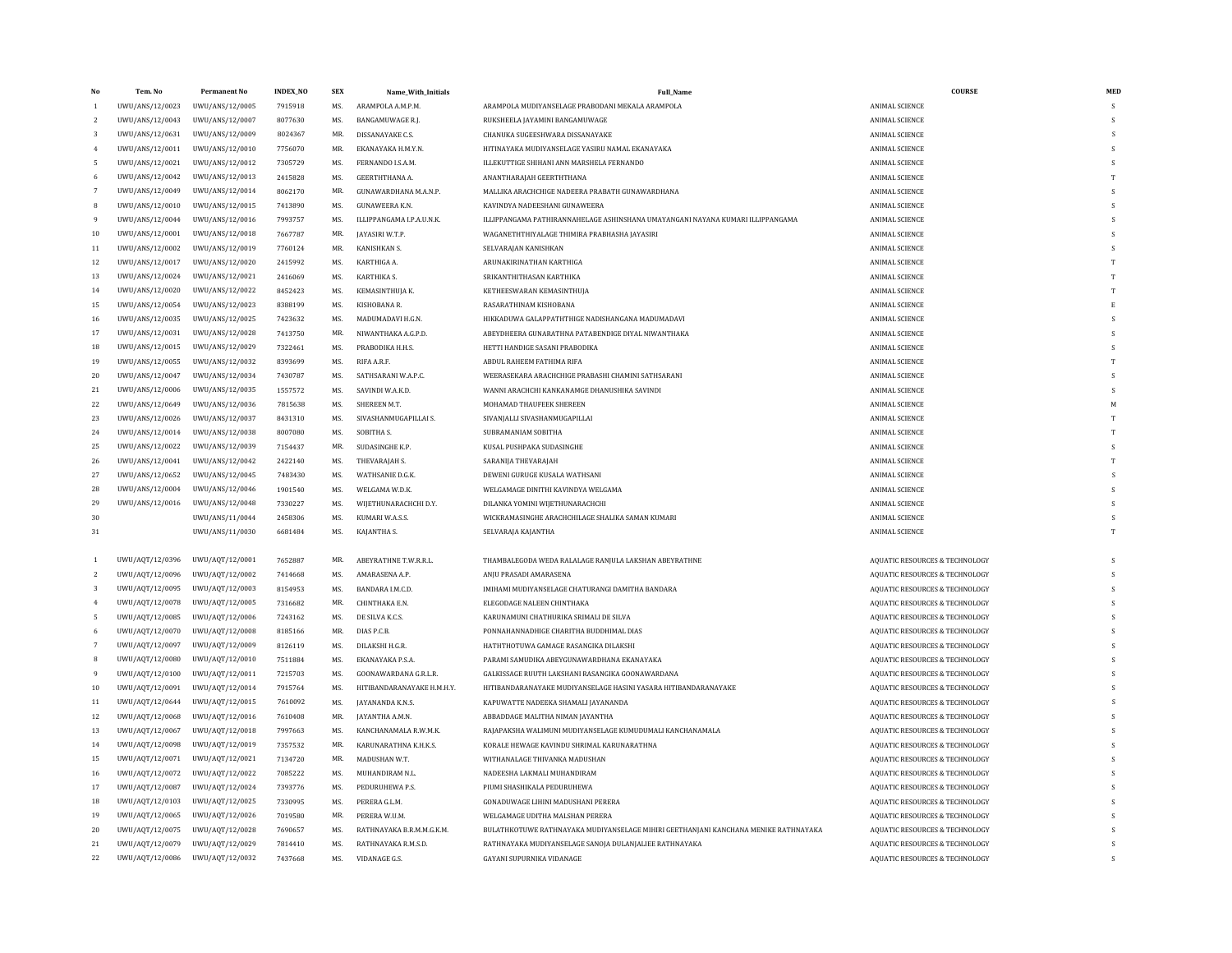| No             | Tem. No         | <b>Permanent No</b> | <b>INDEX_NO</b> | <b>SEX</b>     | Name_With_Initials         | <b>Full Name</b>                                                                    | <b>COURSE</b>                             | MED                |
|----------------|-----------------|---------------------|-----------------|----------------|----------------------------|-------------------------------------------------------------------------------------|-------------------------------------------|--------------------|
| $\mathbf{1}$   | UWU/ANS/12/0023 | UWU/ANS/12/0005     | 7915918         | MS.            | ARAMPOLA A.M.P.M.          | ARAMPOLA MUDIYANSELAGE PRABODANI MEKALA ARAMPOLA                                    | <b>ANIMAL SCIENCE</b>                     | s                  |
| 2              | UWU/ANS/12/0043 | UWU/ANS/12/0007     | 8077630         | MS.            | BANGAMUWAGE R.J.           | RUKSHEELA JAYAMINI BANGAMUWAGE                                                      | <b>ANIMAL SCIENCE</b>                     | S                  |
| 3              | UWU/ANS/12/0631 | UWU/ANS/12/0009     | 8024367         | MR.            | DISSANAYAKE C.S.           | CHANUKA SUGEESHWARA DISSANAYAKE                                                     | <b>ANIMAL SCIENCE</b>                     | <sub>S</sub>       |
|                | UWU/ANS/12/0011 | UWU/ANS/12/0010     | 7756070         | MR.            | EKANAYAKA H.M.Y.N.         | HITINAYAKA MUDIYANSELAGE YASIRU NAMAL EKANAYAKA                                     | ANIMAL SCIENCE                            | $\mathbf{\hat{S}}$ |
| 5              | UWU/ANS/12/0021 | UWU/ANS/12/0012     | 7305729         | MS.            | FERNANDO I.S.A.M.          | ILLEKUTTIGE SHIHANI ANN MARSHELA FERNANDO                                           | <b>ANIMAL SCIENCE</b>                     | <sup>S</sup>       |
|                | UWU/ANS/12/0042 | UWU/ANS/12/0013     | 2415828         | MS.            | GEERTHTHANA A.             | ANANTHARAJAH GEERTHTHANA                                                            | <b>ANIMAL SCIENCE</b>                     | T                  |
|                | UWU/ANS/12/0049 | UWU/ANS/12/0014     | 8062170         | MR.            | GUNAWARDHANA M.A.N.P.      | MALLIKA ARACHCHIGE NADEERA PRABATH GUNAWARDHANA                                     | <b>ANIMAL SCIENCE</b>                     | s                  |
| 8              | UWU/ANS/12/0010 | UWU/ANS/12/0015     | 7413890         | MS.            | <b>GUNAWEERA K.N.</b>      | KAVINDYA NADEESHANI GUNAWEERA                                                       | <b>ANIMAL SCIENCE</b>                     | s                  |
|                | UWU/ANS/12/0044 | UWU/ANS/12/0016     | 7993757         | MS.            | ILLIPPANGAMA I.P.A.U.N.K.  | ILLIPPANGAMA PATHIRANNAHELAGE ASHINSHANA UMAYANGANI NAYANA KUMARI ILLIPPANGAMA      | <b>ANIMAL SCIENCE</b>                     | S                  |
| 10             | UWU/ANS/12/0001 | UWU/ANS/12/0018     | 7667787         | MR.            | JAYASIRI W.T.P.            | WAGANETHTHIYALAGE THIMIRA PRABHASHA JAYASIRI                                        | <b>ANIMAL SCIENCE</b>                     | s                  |
| $11\,$         | UWU/ANS/12/0002 | UWU/ANS/12/0019     | 7760124         | MR.            | KANISHKAN S.               | SELVARAJAN KANISHKAN                                                                | <b>ANIMAL SCIENCE</b>                     | <sub>S</sub>       |
| 12             | UWU/ANS/12/0017 | UWU/ANS/12/0020     | 2415992         | MS.            | KARTHIGA A.                | ARUNAKIRINATHAN KARTHIGA                                                            | ANIMAL SCIENCE                            | T                  |
| 13             | UWU/ANS/12/0024 | UWU/ANS/12/0021     | 2416069         | MS.            | KARTHIKA S.                | SRIKANTHITHASAN KARTHIKA                                                            | <b>ANIMAL SCIENCE</b>                     | T                  |
| 14             | UWU/ANS/12/0020 | UWU/ANS/12/0022     | 8452423         | MS.            | KEMASINTHUJA K.            | KETHEESWARAN KEMASINTHUJA                                                           | ANIMAL SCIENCE                            | T                  |
| 15             | UWU/ANS/12/0054 | UWU/ANS/12/0023     | 8388199         | MS.            | KISHOBANA R.               | RASARATHINAM KISHOBANA                                                              | <b>ANIMAL SCIENCE</b>                     |                    |
| 16             | UWU/ANS/12/0035 | UWU/ANS/12/0025     | 7423632         | MS.            | MADUMADAVI H.G.N.          | HIKKADUWA GALAPPATHTHIGE NADISHANGANA MADUMADAVI                                    | ANIMAL SCIENCE                            | s                  |
| 17             | UWU/ANS/12/0031 | UWU/ANS/12/0028     | 7413750         | MR.            | NIWANTHAKA A.G.P.D.        | ABEYDHEERA GUNARATHNA PATABENDIGE DIYAL NIWANTHAKA                                  | <b>ANIMAL SCIENCE</b>                     | s                  |
| 18             | UWU/ANS/12/0015 | UWU/ANS/12/0029     | 7322461         | MS.            | PRABODIKA H.H.S.           | HETTI HANDIGE SASANI PRABODIKA                                                      | <b>ANIMAL SCIENCE</b>                     | s                  |
| 19             | UWU/ANS/12/0055 | UWU/ANS/12/0032     | 8393699         | MS.            | RIFA A.R.F.                | ABDUL RAHEEM FATHIMA RIFA                                                           | <b>ANIMAL SCIENCE</b>                     |                    |
| 20             | UWU/ANS/12/0047 | UWU/ANS/12/0034     | 7430787         | M <sub>S</sub> | SATHSARANI W.A.P.C.        | WEERASEKARA ARACHCHIGE PRABASHI CHAMINI SATHSARANI                                  | ANIMAL SCIENCE                            | $\mathbf{\hat{S}}$ |
| 21             | UWU/ANS/12/0006 | UWU/ANS/12/0035     | 1557572         | MS.            | SAVINDI W.A.K.D.           | WANNI ARACHCHI KANKANAMGE DHANUSHIKA SAVINDI                                        | <b>ANIMAL SCIENCE</b>                     | s                  |
| 22             | UWU/ANS/12/0649 | UWU/ANS/12/0036     | 7815638         | MS.            | SHEREEN M.T.               | MOHAMAD THAUFEEK SHEREEN                                                            | <b>ANIMAL SCIENCE</b>                     | M                  |
| 23             | UWU/ANS/12/0026 | UWU/ANS/12/0037     | 8431310         | MS.            | SIVASHANMUGAPILLAI S.      | SIVANJALLI SIVASHANMUGAPILLAI                                                       | ANIMAL SCIENCE                            |                    |
| 24             | UWU/ANS/12/0014 | UWU/ANS/12/0038     | 8007080         | MS.            | SOBITHA S.                 | SUBRAMANIAM SOBITHA                                                                 | <b>ANIMAL SCIENCE</b>                     | T                  |
| 25             | UWU/ANS/12/0022 | UWU/ANS/12/0039     | 7154437         | MR.            | SUDASINGHE K.P.            | KUSAL PUSHPAKA SUDASINGHE                                                           | ANIMAL SCIENCE                            | S                  |
| 26             | UWU/ANS/12/0041 | UWU/ANS/12/0042     | 2422140         | MS.            | THEVARAJAH S.              | SARANIJA THEVARAJAH                                                                 | <b>ANIMAL SCIENCE</b>                     | T                  |
| 27             | UWU/ANS/12/0652 | UWU/ANS/12/0045     | 7483430         | MS.            | WATHSANIE D.G.K.           | DEWENI GURUGE KUSALA WATHSANI                                                       | ANIMAL SCIENCE                            | $\mathbf{c}$       |
| 28             | UWU/ANS/12/0004 | UWU/ANS/12/0046     | 1901540         | MS.            | WELGAMA W.D.K.             | WELGAMAGE DINITHI KAVINDYA WELGAMA                                                  | <b>ANIMAL SCIENCE</b>                     | s                  |
| 29             | UWU/ANS/12/0016 | UWU/ANS/12/0048     | 7330227         | MS.            | WIJETHUNARACHCHI D.Y.      | DILANKA YOMINI WIJETHUNARACHCHI                                                     | <b>ANIMAL SCIENCE</b>                     | s                  |
| 30             |                 | UWU/ANS/11/0044     | 2458306         | MS.            | KUMARI W.A.S.S.            | WICKRAMASINGHE ARACHCHILAGE SHALIKA SAMAN KUMARI                                    | <b>ANIMAL SCIENCE</b>                     | s                  |
| 31             |                 | UWU/ANS/11/0030     | 6681484         | MS.            | KAJANTHA S.                | SELVARAJA KAJANTHA                                                                  | ANIMAL SCIENCE                            | T                  |
|                |                 |                     |                 |                |                            |                                                                                     |                                           |                    |
| $\mathbf{1}$   | UWU/AQT/12/0396 | UWU/AQT/12/0001     | 7652887         | MR.            | ABEYRATHNE T.W.R.R.L       | THAMBALEGODA WEDA RALALAGE RANJULA LAKSHAN ABEYRATHNE                               | <b>AQUATIC RESOURCES &amp; TECHNOLOGY</b> | S                  |
| 2              | UWU/AQT/12/0096 | UWU/AQT/12/0002     | 7414668         | MS.            | AMARASENA A.P.             | ANJU PRASADI AMARASENA                                                              | <b>AQUATIC RESOURCES &amp; TECHNOLOGY</b> | s                  |
| 3              | UWU/AQT/12/0095 | UWU/AQT/12/0003     | 8154953         | MS.            | BANDARA I.M.C.D.           | IMIHAMI MUDIYANSELAGE CHATURANGI DAMITHA BANDARA                                    | AQUATIC RESOURCES & TECHNOLOGY            | s                  |
| $\overline{4}$ | UWU/AQT/12/0078 | UWU/AQT/12/0005     | 7316682         | MR.            | CHINTHAKA E.N.             | ELEGODAGE NALEEN CHINTHAKA                                                          | <b>AQUATIC RESOURCES &amp; TECHNOLOGY</b> | s                  |
| 5              | UWU/AQT/12/0085 | UWU/AQT/12/0006     | 7243162         | MS.            | DE SILVA K.C.S.            | KARUNAMUNI CHATHURIKA SRIMALI DE SILVA                                              | AQUATIC RESOURCES & TECHNOLOGY            | s                  |
| 6              | UWU/AQT/12/0070 | UWU/AQT/12/0008     | 8185166         | MR.            | DIAS P.C.B.                | PONNAHANNADHIGE CHARITHA BUDDHIMAL DIAS                                             | <b>AQUATIC RESOURCES &amp; TECHNOLOGY</b> |                    |
|                | UWU/AQT/12/0097 | UWU/AQT/12/0009     | 8126119         | MS.            | DILAKSHI H.G.R.            | HATHTHOTHWA GAMAGE RASANGIKA DILAKSHI                                               | <b>AQUATIC RESOURCES &amp; TECHNOLOGY</b> | s                  |
|                | UWU/AQT/12/0080 | UWU/AQT/12/0010     | 7511884         | MS.            | EKANAYAKA P.S.A.           | PARAMI SAMUDIKA ABEYGUNAWARDHANA EKANAYAKA                                          | <b>AQUATIC RESOURCES &amp; TECHNOLOGY</b> | s                  |
| 9              | UWU/AQT/12/0100 | UWU/AQT/12/0011     | 7215703         | MS.            | GOONAWARDANA G.R.L.R.      | GALKISSAGE RUUTH LAKSHANI RASANGIKA GOONAWARDANA                                    | AQUATIC RESOURCES & TECHNOLOGY            | s                  |
| $10\,$         | UWU/AQT/12/0091 | UWU/AQT/12/0014     | 7915764         | MS.            | HITIBANDARANAYAKE H.M.H.Y. | HITIBANDARANAYAKE MUDIYANSELAGE HASINI YASARA HITIBANDARANAYAKE                     | <b>AQUATIC RESOURCES &amp; TECHNOLOGY</b> | s                  |
| $11\,$         | UWU/AQT/12/0644 | UWU/AQT/12/0015     | 7610092         | MS.            | JAYANANDA K.N.S.           | KAPUWATTE NADEEKA SHAMALI JAYANANDA                                                 | <b>AQUATIC RESOURCES &amp; TECHNOLOGY</b> | s                  |
| 12             | UWU/AQT/12/0068 | UWU/AQT/12/0016     | 7610408         | MR.            | JAYANTHA A.M.N.            | ABBADDAGE MALITHA NIMAN JAYANTHA                                                    | <b>AQUATIC RESOURCES &amp; TECHNOLOGY</b> | S                  |
| 13             | UWU/AQT/12/0067 | UWU/AQT/12/0018     | 7997663         | MS.            | KANCHANAMALA R.W.M.K.      | RAJAPAKSHA WALIMUNI MUDIYANSELAGE KUMUDUMALI KANCHANAMALA                           | <b>AQUATIC RESOURCES &amp; TECHNOLOGY</b> | s                  |
| 14             | UWU/AQT/12/0098 | UWU/AQT/12/0019     | 7357532         | MR.            | KARUNARATHNA K.H.K.S.      | KORALE HEWAGE KAVINDU SHRIMAL KARUNARATHNA                                          | AQUATIC RESOURCES & TECHNOLOGY            | $\mathbf{\hat{S}}$ |
| 15             | UWU/AQT/12/0071 | UWU/AQT/12/0021     | 7134720         | MR.            | MADUSHAN W.T.              | WITHANALAGE THIVANKA MADUSHAN                                                       | <b>AQUATIC RESOURCES &amp; TECHNOLOGY</b> | s                  |
| 16             | UWU/AQT/12/0072 | UWU/AQT/12/0022     | 7085222         | MS.            | MUHANDIRAM N.L.            | NADEESHA LAKMALI MUHANDIRAM                                                         | AQUATIC RESOURCES & TECHNOLOGY            | $\mathbf{\hat{S}}$ |
| 17             | UWU/AQT/12/0087 | UWU/AQT/12/0024     | 7393776         | MS.            | PEDURUHEWA P.S.            | PIUMI SHASHIKALA PEDURUHEWA                                                         | <b>AQUATIC RESOURCES &amp; TECHNOLOGY</b> |                    |
| 18             | UWU/AQT/12/0103 | UWU/AQT/12/0025     | 7330995         | MS.            | PERERA G.L.M.              | GONADUWAGE LIHINI MADUSHANI PERERA                                                  | <b>AQUATIC RESOURCES &amp; TECHNOLOGY</b> | s                  |
| 19             | UWU/AQT/12/0065 | UWU/AQT/12/0026     | 7019580         | MR.            | PERERA W.U.M.              | WELGAMAGE UDITHA MALSHAN PERERA                                                     | <b>AQUATIC RESOURCES &amp; TECHNOLOGY</b> | S                  |
| 20             | UWU/AQT/12/0075 | UWU/AQT/12/0028     | 7690657         | MS.            | RATHNAYAKA B.R.M.M.G.K.M.  | BULATHKOTUWE RATHNAYAKA MUDIYANSELAGE MIHIRI GEETHANJANI KANCHANA MENIKE RATHNAYAKA | AQUATIC RESOURCES & TECHNOLOGY            | s                  |
| $21\,$         | UWU/AQT/12/0079 | UWU/AQT/12/0029     | 7814410         | MS.            | RATHNAYAKA R.M.S.D.        | RATHNAYAKA MUDIYANSELAGE SANOJA DULANJALIEE RATHNAYAKA                              | <b>AQUATIC RESOURCES &amp; TECHNOLOGY</b> | $\mathbf{\hat{S}}$ |
| 22             | UWU/AQT/12/0086 | UWU/AQT/12/0032     | 7437668         | MS.            | VIDANAGE G.S.              | GAYANI SUPURNIKA VIDANAGE                                                           | <b>AQUATIC RESOURCES &amp; TECHNOLOGY</b> | $\mathbf{\hat{S}}$ |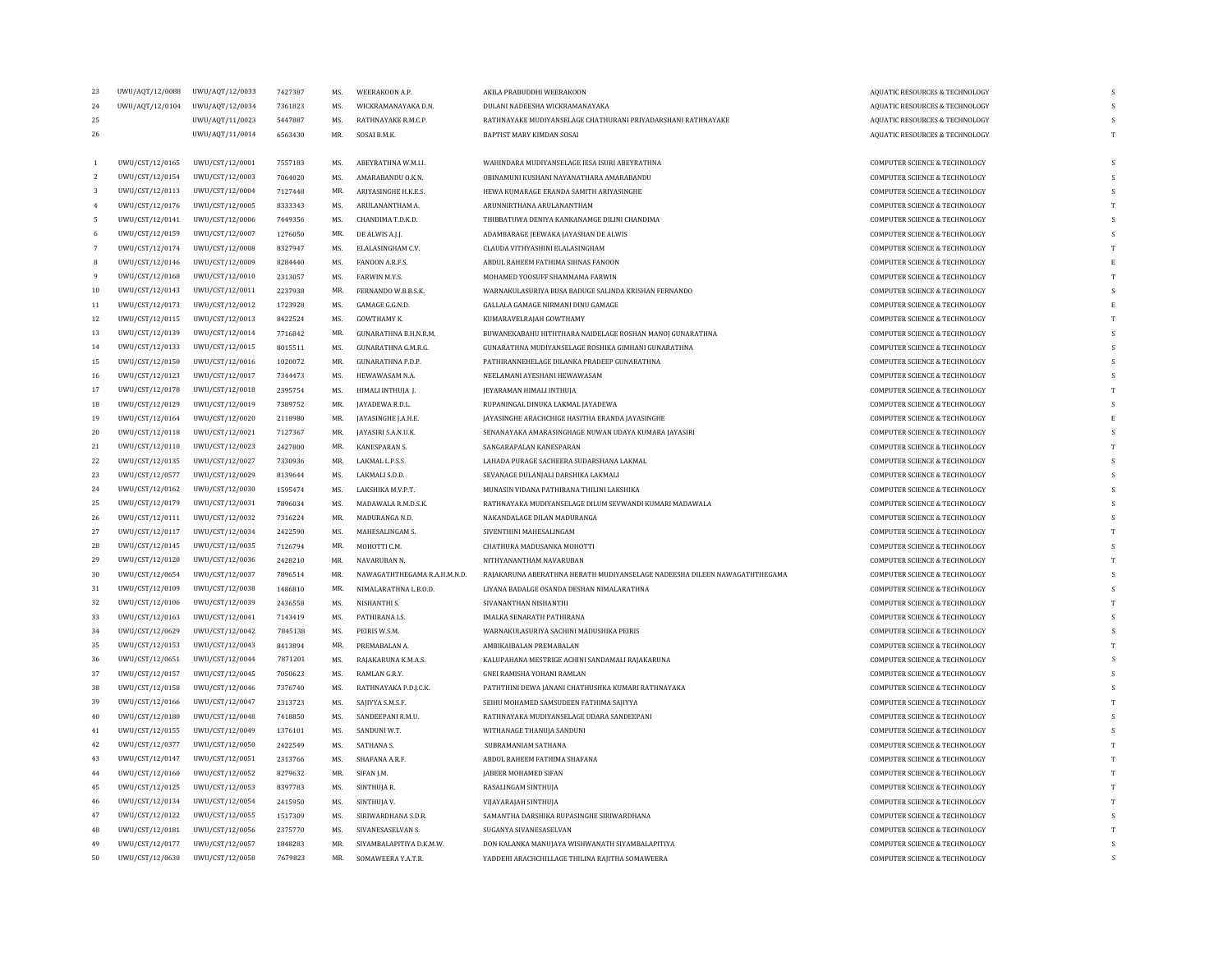| 23              | UWU/AQT/12/0088 | UWU/AQT/12/0033 | 7427387            | MS.            | WEERAKOON A.P                         | AKILA PRABUDDHI WEERAKOON                                                 | <b>AOUATIC RESOURCES &amp; TECHNOLOGY</b>                                 |          |
|-----------------|-----------------|-----------------|--------------------|----------------|---------------------------------------|---------------------------------------------------------------------------|---------------------------------------------------------------------------|----------|
| 24              | UWU/AQT/12/0104 | UWU/AQT/12/0034 | 7361823            | MS.            | WICKRAMANAYAKA D.N.                   | DULANI NADEESHA WICKRAMANAYAKA                                            | AQUATIC RESOURCES & TECHNOLOGY                                            | s        |
| 25              |                 | UWU/AQT/11/0023 | 5447887            | MS.            | RATHNAYAKE R.M.C.P.                   | RATHNAYAKE MUDIYANSELAGE CHATHURANI PRIYADARSHANI RATHNAYAKE              | AQUATIC RESOURCES & TECHNOLOGY                                            |          |
| 26              |                 | UWU/AQT/11/0014 | 6563430            | MR.            | SOSAI B.M.K.                          | BAPTIST MARY KIMDAN SOSAI                                                 | <b>AQUATIC RESOURCES &amp; TECHNOLOGY</b>                                 | T        |
|                 |                 |                 |                    |                |                                       |                                                                           |                                                                           |          |
| -1.             | UWU/CST/12/0165 | UWU/CST/12/0001 | 7557183            | MS.            | ABEYRATHNA W.M.I.I.                   | WAHINDARA MUDIYANSELAGE IESA ISURI ABEYRATHNA                             | COMPUTER SCIENCE & TECHNOLOGY                                             |          |
| $\overline{2}$  | UWU/CST/12/0154 | UWU/CST/12/0003 | 7064020            | MS.            | AMARABANDU O.K.N.                     | OBINAMUNI KUSHANI NAYANATHARA AMARABANDU                                  | COMPUTER SCIENCE & TECHNOLOGY                                             | S        |
| 3               | UWU/CST/12/0113 | UWU/CST/12/0004 | 7127448            | MR.            | <b>ARIYASINGHE H.K.E.S</b>            | HEWA KUMARAGE ERANDA SAMITH ARIYASINGHE                                   | <b>COMPUTER SCIENCE &amp; TECHNOLOGY</b>                                  | <b>S</b> |
| $\overline{4}$  | UWU/CST/12/0176 | UWU/CST/12/0005 | 8333343            | MS.            | ARULANANTHAM A.                       | ARUNNIRTHANA ARULANANTHAM                                                 | COMPUTER SCIENCE & TECHNOLOGY                                             |          |
| 5.              | UWU/CST/12/0141 | UWU/CST/12/0006 | 7449356            | MS.            | CHANDIMA T.D.K.D.                     | THIBBATUWA DENIYA KANKANAMGE DILINI CHANDIMA                              | <b>COMPUTER SCIENCE &amp; TECHNOLOGY</b>                                  | s        |
| 6               | UWU/CST/12/0159 | UWU/CST/12/0007 | 1276050            | MR.            | DE ALWIS A.J.J.                       | ADAMBARAGE JEEWAKA JAYASHAN DE ALWIS                                      | <b>COMPUTER SCIENCE &amp; TECHNOLOGY</b>                                  |          |
| $7\phantom{.0}$ | UWU/CST/12/0174 | UWU/CST/12/0008 | 8327947            | MS.            | ELALASINGHAM C.V.                     | CLAUDA VITHYASHINI ELALASINGHAM                                           | COMPUTER SCIENCE & TECHNOLOGY                                             | T        |
| 8               | UWU/CST/12/0146 | UWU/CST/12/0009 | 8284440            | MS.            | FANOON A.R.F.S.                       | ABDUL RAHEEM FATHIMA SIHNAS FANOON                                        | COMPUTER SCIENCE & TECHNOLOGY                                             |          |
| 9               | UWU/CST/12/0168 | UWU/CST/12/0010 | 2313057            | MS.            | FARWIN M.Y.S.                         | MOHAMED YOOSUFF SHAMMAMA FARWIN                                           | COMPUTER SCIENCE & TECHNOLOGY                                             |          |
| 10              | UWU/CST/12/0143 | UWU/CST/12/0011 | 2237938            | MR.            | FERNANDO W.B.B.S.K.                   | WARNAKULASURIYA BUSA BADUGE SALINDA KRISHAN FERNANDO                      | COMPUTER SCIENCE & TECHNOLOGY                                             |          |
| 11              | UWU/CST/12/0173 | UWU/CST/12/0012 | 1723928            | MS.            | GAMAGE G.G.N.D.                       | GALLALA GAMAGE NIRMANI DINU GAMAGE                                        | COMPUTER SCIENCE & TECHNOLOGY                                             |          |
| 12              | UWU/CST/12/0115 | UWU/CST/12/0013 | 8422524            | MS.            | GOWTHAMY K.                           | KUMARAVELRAJAH GOWTHAMY                                                   | COMPUTER SCIENCE & TECHNOLOGY                                             |          |
| 13              | UWU/CST/12/0139 | UWU/CST/12/0014 | 7716842            | MR.            | <b>GUNARATHNA B.H.N.R.M</b>           | BUWANEKABAHU HITHTHARA NAIDELAGE ROSHAN MANOJ GUNARATHNA                  | <b>COMPUTER SCIENCE &amp; TECHNOLOGY</b>                                  | s        |
| 14              | UWU/CST/12/0133 | UWU/CST/12/0015 | 8015511            | MS.            | GUNARATHNA G.M.R.G.                   | GUNARATHNA MUDIYANSELAGE ROSHIKA GIMHANI GUNARATHNA                       | COMPUTER SCIENCE & TECHNOLOGY                                             | S        |
| 15              | UWU/CST/12/0150 | UWU/CST/12/0016 | 1020072            | MR.            | <b>GUNARATHNA P.D.P.</b>              | PATHIRANNEHELAGE DILANKA PRADEEP GUNARATHNA                               | <b>COMPUTER SCIENCE &amp; TECHNOLOGY</b>                                  | S        |
| $16\,$          | UWU/CST/12/0123 | UWU/CST/12/0017 | 7344473            | MS.            | HEWAWASAM N.A.                        | NEELAMANI AYESHANI HEWAWASAM                                              | COMPUTER SCIENCE & TECHNOLOGY                                             | s        |
| 17              | UWU/CST/12/0178 | UWU/CST/12/0018 | 2395754            | MS.            | HIMALI INTHUJA J.                     | JEYARAMAN HIMALI INTHUJA                                                  | COMPUTER SCIENCE & TECHNOLOGY                                             | T        |
| 18              | UWU/CST/12/0129 | UWU/CST/12/0019 | 7389752            | MR.            | JAYADEWA R.D.L.                       | RUPANINGAL DINUKA LAKMAL JAYADEWA                                         | COMPUTER SCIENCE & TECHNOLOGY                                             | S        |
| $19\,$          | UWU/CST/12/0164 | UWU/CST/12/0020 | 2118980            | MR.            | JAYASINGHE J.A.H.E.                   | JAYASINGHE ARACHCHIGE HASITHA ERANDA JAYASINGHE                           | COMPUTER SCIENCE & TECHNOLOGY                                             |          |
| 20              | UWU/CST/12/0118 | UWU/CST/12/0021 | 7127367            | MR.            | JAYASIRI S.A.N.U.K.                   | SENANAYAKA AMARASINGHAGE NUWAN UDAYA KUMARA JAYASIRI                      | <b>COMPUTER SCIENCE &amp; TECHNOLOGY</b>                                  |          |
| 21              | UWU/CST/12/0110 | UWU/CST/12/0023 | 2427800            | MR.            | KANESPARAN S.                         | SANGARAPALAN KANESPARAN                                                   | <b>COMPUTER SCIENCE &amp; TECHNOLOGY</b>                                  | T        |
| 22              | UWU/CST/12/0135 | UWU/CST/12/0027 | 7330936            | MR.            | LAKMAL L.P.S.S.                       | LAHADA PURAGE SACHEERA SUDARSHANA LAKMAL                                  | COMPUTER SCIENCE & TECHNOLOGY                                             | S        |
| 23              | UWU/CST/12/0577 | UWU/CST/12/0029 | 8139644            | MS.            | LAKMALI S.D.D.                        | SEVANAGE DULANJALI DARSHIKA LAKMALI                                       | COMPUTER SCIENCE & TECHNOLOGY                                             |          |
| 24              | UWU/CST/12/0162 | UWU/CST/12/0030 | 1595474            | MS.            | LAKSHIKA M.V.P.T.                     | MUNASIN VIDANA PATHIRANA THILINI LAKSHIKA                                 | COMPUTER SCIENCE & TECHNOLOGY                                             | s        |
| 25              | UWU/CST/12/0179 | UWU/CST/12/0031 | 7896034            | MS.            | MADAWALA R.M.D.S.K.                   | RATHNAYAKA MUDIYANSELAGE DILUM SEVWANDI KUMARI MADAWALA                   | COMPUTER SCIENCE & TECHNOLOGY                                             |          |
| 26              | UWU/CST/12/0111 | UWU/CST/12/0032 | 7316224            | MR.            | MADURANGA N.D.                        | NAKANDALAGE DILAN MADURANGA                                               | COMPUTER SCIENCE & TECHNOLOGY                                             | S        |
| 27              | UWU/CST/12/0117 | UWU/CST/12/0034 | 2422590            | MS.            | MAHESALINGAM S.                       | SIVENTHINI MAHESALINGAM                                                   | COMPUTER SCIENCE & TECHNOLOGY                                             |          |
| 28              | UWU/CST/12/0145 | UWU/CST/12/0035 |                    | MR.            |                                       |                                                                           | <b>COMPUTER SCIENCE &amp; TECHNOLOGY</b>                                  | S        |
| 29              | UWU/CST/12/0120 | UWU/CST/12/0036 | 7126794<br>2428210 | MR.            | MOHOTTI C.M.<br>NAVARUBAN N.          | CHATHURA MADUSANKA MOHOTTI<br>NITHYANANTHAM NAVARUBAN                     | COMPUTER SCIENCE & TECHNOLOGY                                             | T        |
|                 |                 |                 |                    | MR.            |                                       | RAJAKARUNA ABERATHNA HERATH MUDIYANSELAGE NADEESHA DILEEN NAWAGATHTHEGAMA | <b>COMPUTER SCIENCE &amp; TECHNOLOGY</b>                                  | S        |
| 30              | UWU/CST/12/0654 | UWU/CST/12/0037 | 7896514            | MR.            | NAWAGATHTHEGAMA R.A.H.M.N.D.          |                                                                           |                                                                           |          |
| 31<br>32        | UWU/CST/12/0109 | UWU/CST/12/0038 | 1486810            | MS.            | NIMALARATHNA L.B.O.D.<br>NISHANTHI S. | LIYANA BADALGE OSANDA DESHAN NIMALARATHNA<br>SIVANANTHAN NISHANTHI        | COMPUTER SCIENCE & TECHNOLOGY<br><b>COMPUTER SCIENCE &amp; TECHNOLOGY</b> | T        |
|                 | UWU/CST/12/0106 | UWU/CST/12/0039 | 2436558            |                |                                       |                                                                           |                                                                           |          |
| 33              | UWU/CST/12/0163 | UWU/CST/12/0041 | 7143419            | MS.            | PATHIRANA I.S                         | <b>IMALKA SENARATH PATHIRANA</b>                                          | COMPUTER SCIENCE & TECHNOLOGY                                             | s        |
| 34              | UWU/CST/12/0629 | UWU/CST/12/0042 | 7845138            | MS.            | PEIRIS W.S.M.                         | WARNAKULASURIYA SACHINI MADUSHIKA PEIRIS                                  | COMPUTER SCIENCE & TECHNOLOGY                                             |          |
| 35              | UWU/CST/12/0153 | UWU/CST/12/0043 | 8413894            | MR.            | PREMABALAN A.                         | AMBIKAIBALAN PREMABALAN                                                   | COMPUTER SCIENCE & TECHNOLOGY                                             | s        |
| 36              | UWU/CST/12/0651 | UWU/CST/12/0044 | 7871201            | MS.            | RAJAKARUNA K.M.A.S.                   | KALUPAHANA MESTRIGE ACHINI SANDAMALI RAJAKARUNA                           | COMPUTER SCIENCE & TECHNOLOGY                                             |          |
| 37              | UWU/CST/12/0157 | UWU/CST/12/0045 | 7050623            | MS.            | RAMLAN G.R.Y.                         | GNEI RAMISHA YOHANI RAMLAN                                                | COMPUTER SCIENCE & TECHNOLOGY                                             | s        |
| 38              | UWU/CST/12/0158 | UWU/CST/12/0046 | 7376740            | MS.            | RATHNAYAKA P.D.J.C.K.                 | PATHTHINI DEWA JANANI CHATHUSHKA KUMARI RATHNAYAKA                        | <b>COMPUTER SCIENCE &amp; TECHNOLOGY</b>                                  |          |
| 39              | UWU/CST/12/0166 | UWU/CST/12/0047 | 2313723            | MS.            | SAJIYYA S.M.S.F.                      | SEIHU MOHAMED SAMSUDEEN FATHIMA SAJIYYA                                   | COMPUTER SCIENCE & TECHNOLOGY                                             |          |
| 40              | UWU/CST/12/0180 | UWU/CST/12/0048 | 7418850            | M <sub>S</sub> | SANDEEPANI R.M.U.                     | RATHNAYAKA MUDIYANSELAGE UDARA SANDEEPANI                                 | <b>COMPUTER SCIENCE &amp; TECHNOLOGY</b>                                  | s        |
| 41              | UWU/CST/12/0155 | UWU/CST/12/0049 | 1376101            | MS.            | SANDUNI W.T.                          | WITHANAGE THANUJA SANDUNI                                                 | COMPUTER SCIENCE & TECHNOLOGY                                             |          |
| 42              | UWU/CST/12/0377 | UWU/CST/12/0050 | 2422549            | MS.            | SATHANA S.                            | SUBRAMANIAM SATHANA                                                       | <b>COMPUTER SCIENCE &amp; TECHNOLOGY</b>                                  | T        |
| 43              | UWU/CST/12/0147 | UWU/CST/12/0051 | 2313766            | MS.            | SHAFANA A.R.F.                        | ABDUL RAHEEM FATHIMA SHAFANA                                              | COMPUTER SCIENCE & TECHNOLOGY                                             |          |
| 44              | UWU/CST/12/0160 | UWU/CST/12/0052 | 8279632            | MR.            | SIFAN J.M.                            | <b>JABEER MOHAMED SIFAN</b>                                               | COMPUTER SCIENCE & TECHNOLOGY                                             | T        |
| 45              | UWU/CST/12/0125 | UWU/CST/12/0053 | 8397783            | MS.            | SINTHUJA R.                           | RASALINGAM SINTHUJA                                                       | COMPUTER SCIENCE & TECHNOLOGY                                             | T        |
| 46              | UWU/CST/12/0134 | UWU/CST/12/0054 | 2415950            | MS.            | SINTHUJA V.                           | VIJAYARAJAH SINTHUJA                                                      | <b>COMPUTER SCIENCE &amp; TECHNOLOGY</b>                                  | T        |
| 47              | UWU/CST/12/0122 | UWU/CST/12/0055 | 1517309            | MS.            | SIRIWARDHANA S.D.R.                   | SAMANTHA DARSHIKA RUPASINGHE SIRIWARDHANA                                 | COMPUTER SCIENCE & TECHNOLOGY                                             |          |
| 48              | UWU/CST/12/0181 | UWU/CST/12/0056 | 2375770            | MS.            | SIVANESASELVAN S.                     | SUGANYA SIVANESASELVAN                                                    | COMPUTER SCIENCE & TECHNOLOGY                                             | T        |
| 49              | UWU/CST/12/0177 | UWU/CST/12/0057 | 1848283            | MR.            | SIYAMBALAPITIYA D.K.M.W.              | DON KALANKA MANUJAYA WISHWANATH SIYAMBALAPITIYA                           | COMPUTER SCIENCE & TECHNOLOGY                                             |          |
| 50              | UWU/CST/12/0630 | UWU/CST/12/0058 | 7679823            | MR.            | SOMAWEERA Y.A.T.R.                    | YADDEHI ARACHCHILLAGE THILINA RAIITHA SOMAWEERA                           | <b>COMPUTER SCIENCE &amp; TECHNOLOGY</b>                                  |          |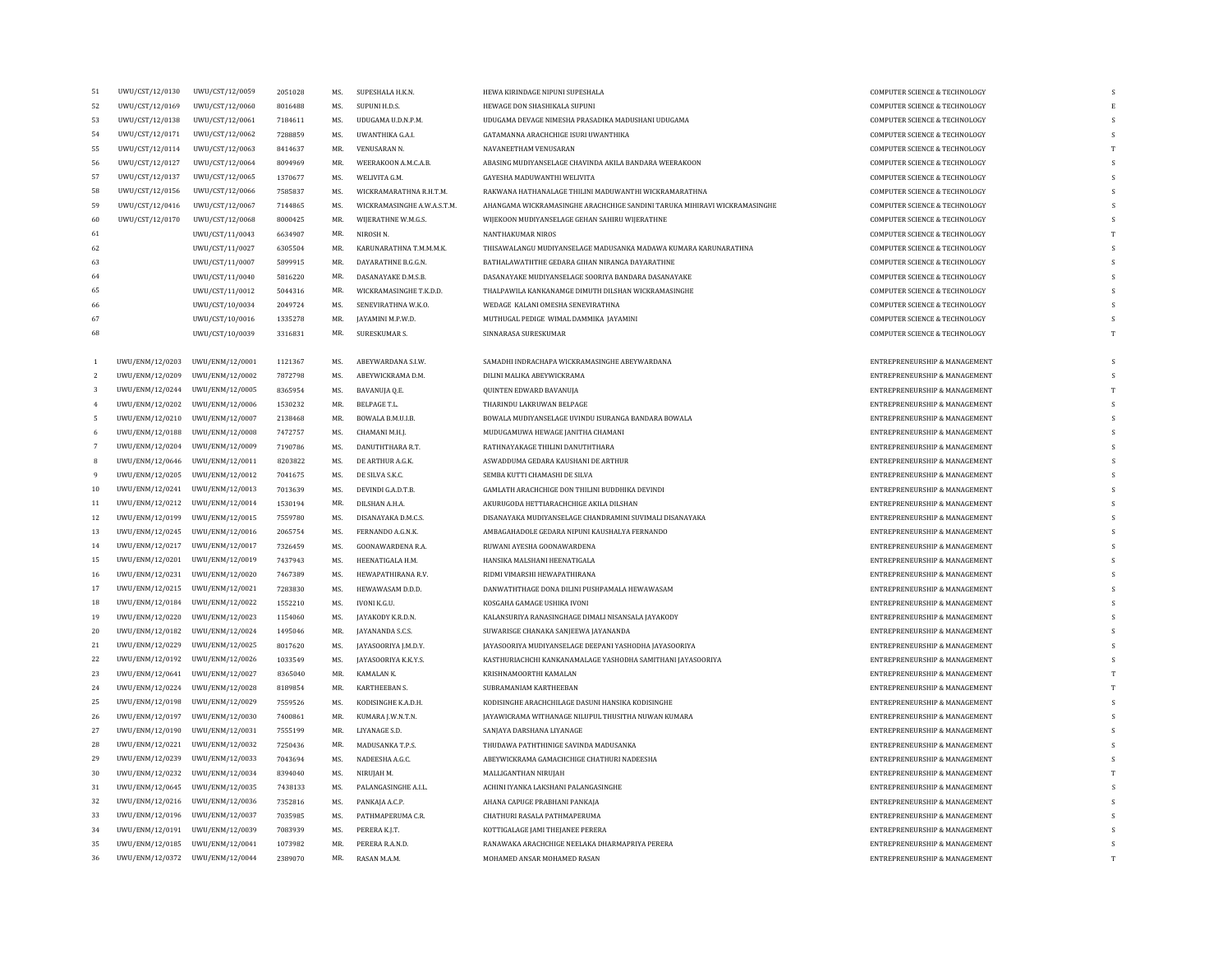| 51             | UWU/CST/12/0130                 | UWU/CST/12/0059                                                    | 2051028 | MS.        | SUPESHALA H.K.N.            | HEWA KIRINDAGE NIPUNI SUPESHALA                                           | <b>COMPUTER SCIENCE &amp; TECHNOLOGY</b>                       |   |
|----------------|---------------------------------|--------------------------------------------------------------------|---------|------------|-----------------------------|---------------------------------------------------------------------------|----------------------------------------------------------------|---|
| 52             | UWU/CST/12/0169                 | UWU/CST/12/0060                                                    | 8016488 | MS.        | SUPUNI H.D.S.               | HEWAGE DON SHASHIKALA SUPUNI                                              | <b>COMPUTER SCIENCE &amp; TECHNOLOGY</b>                       |   |
| 53             | UWU/CST/12/0138                 | UWU/CST/12/0061                                                    | 7184611 | MS.        | UDUGAMA U.D.N.P.M.          | UDUGAMA DEVAGE NIMESHA PRASADIKA MADUSHANI UDUGAMA                        | COMPUTER SCIENCE & TECHNOLOGY                                  |   |
| 54             | UWU/CST/12/0171                 | UWU/CST/12/0062                                                    | 7288859 | MS.        | UWANTHIKA G.A.I.            | GATAMANNA ARACHCHIGE ISURI UWANTHIKA                                      | COMPUTER SCIENCE & TECHNOLOGY                                  |   |
| 55             | UWU/CST/12/0114                 | UWU/CST/12/0063                                                    | 8414637 | MR.        | VENUSARAN N.                | NAVANEETHAM VENUSARAN                                                     | COMPUTER SCIENCE & TECHNOLOGY                                  |   |
| 56             | UWU/CST/12/0127                 | UWU/CST/12/0064                                                    | 8094969 | MR.        | WEERAKOON A.M.C.A.B.        | ABASING MUDIYANSELAGE CHAVINDA AKILA BANDARA WEERAKOON                    | COMPUTER SCIENCE & TECHNOLOGY                                  |   |
| 57             | UWU/CST/12/0137                 | UWU/CST/12/0065                                                    | 1370677 | MS.        | WELIVITA G.M.               | GAYESHA MADUWANTHI WELIVITA                                               | COMPUTER SCIENCE & TECHNOLOGY                                  | S |
| 58             | UWU/CST/12/0156                 | UWU/CST/12/0066                                                    | 7585837 | MS.        | WICKRAMARATHNA R.H.T.M      | RAKWANA HATHANALAGE THILINI MADUWANTHI WICKRAMARATHNA                     | COMPUTER SCIENCE & TECHNOLOGY                                  |   |
| 59             | UWU/CST/12/0416                 | UWU/CST/12/0067                                                    | 7144865 | MS.        | WICKRAMASINGHE A.W.A.S.T.M. | AHANGAMA WICKRAMASINGHE ARACHCHIGE SANDINI TARUKA MIHIRAVI WICKRAMASINGHE | COMPUTER SCIENCE & TECHNOLOGY                                  |   |
| 60             | UWU/CST/12/0170                 | UWU/CST/12/0068                                                    | 8000425 | MR.        | WIJERATHNE W.M.G.S.         | WIJEKOON MUDIYANSELAGE GEHAN SAHIRU WIJERATHNE                            | COMPUTER SCIENCE & TECHNOLOGY                                  | S |
| 61             |                                 | UWU/CST/11/0043                                                    | 6634907 | MR.        | NIROSH N.                   | NANTHAKUMAR NIROS                                                         | COMPUTER SCIENCE & TECHNOLOGY                                  |   |
| 62             |                                 | UWU/CST/11/0027                                                    | 6305504 | MR.        | KARUNARATHNA T.M.M.M.K.     | THISAWALANGU MUDIYANSELAGE MADUSANKA MADAWA KUMARA KARUNARATHNA           | COMPUTER SCIENCE & TECHNOLOGY                                  |   |
| 63             |                                 | UWU/CST/11/0007                                                    | 5899915 | MR.        | DAYARATHNE B.G.G.N          | BATHALAWATHTHE GEDARA GIHAN NIRANGA DAYARATHNE                            | COMPUTER SCIENCE & TECHNOLOGY                                  | s |
| 64             |                                 | UWU/CST/11/0040                                                    | 5816220 | MR.        | DASANAYAKE D.M.S.B.         | DASANAYAKE MUDIYANSELAGE SOORIYA BANDARA DASANAYAKE                       | COMPUTER SCIENCE & TECHNOLOGY                                  |   |
| 65             |                                 | UWU/CST/11/0012                                                    | 5044316 | MR.        | WICKRAMASINGHE T.K.D.D.     | THALPAWILA KANKANAMGE DIMUTH DILSHAN WICKRAMASINGHE                       | COMPUTER SCIENCE & TECHNOLOGY                                  | S |
| 66             |                                 | UWU/CST/10/0034                                                    | 2049724 | MS.        | SENEVIRATHNA W.K.O.         | WEDAGE KALANI OMESHA SENEVIRATHNA                                         | COMPUTER SCIENCE & TECHNOLOGY                                  |   |
| 67             |                                 | UWU/CST/10/0016                                                    | 1335278 | MR.        | <b>JAYAMINI M.P.W.D.</b>    | MUTHUGAL PEDIGE WIMAL DAMMIKA JAYAMINI                                    | COMPUTER SCIENCE & TECHNOLOGY                                  |   |
| 68             |                                 | UWU/CST/10/0039                                                    | 3316831 | MR.        | SURESKUMAR S.               | SINNARASA SURESKUMAR                                                      | COMPUTER SCIENCE & TECHNOLOGY                                  | T |
|                |                                 |                                                                    |         |            |                             |                                                                           |                                                                |   |
|                | UWU/ENM/12/0203                 | UWU/ENM/12/0001                                                    | 1121367 | MS.        | ABEYWARDANA S.I.W.          | SAMADHI INDRACHAPA WICKRAMASINGHE ABEYWARDANA                             | ENTREPRENEURSHIP & MANAGEMENT                                  |   |
| $\overline{2}$ | UWU/ENM/12/0209                 | UWU/ENM/12/0002                                                    | 7872798 | MS.        | ABEYWICKRAMA D.M.           | DILINI MALIKA ABEYWICKRAMA                                                | ENTREPRENEURSHIP & MANAGEMENT                                  | s |
| $\sqrt{3}$     |                                 | UWU/ENM/12/0244 UWU/ENM/12/0005                                    | 8365954 | MS.        | BAVANUJA Q.E.               | QUINTEN EDWARD BAVANUJA                                                   | ENTREPRENEURSHIP & MANAGEMENT                                  | T |
| $\overline{4}$ |                                 | UWU/ENM/12/0202 UWU/ENM/12/0006                                    | 1530232 | MR.        | BELPAGE T.L.                | THARINDU LAKRUWAN BELPAGE                                                 | ENTREPRENEURSHIP & MANAGEMENT                                  | S |
| 5              | UWU/ENM/12/0210                 | UWU/ENM/12/0007                                                    | 2138468 | MR.        | BOWALA B.M.U.I.B.           | BOWALA MUDIYANSELAGE UVINDU ISURANGA BANDARA BOWALA                       | ENTREPRENEURSHIP & MANAGEMENT                                  |   |
| 6              | UWU/ENM/12/0188                 | UWU/ENM/12/0008                                                    | 7472757 | MS.        | CHAMANI M.H.J.              | MUDUGAMUWA HEWAGE JANITHA CHAMANI                                         | ENTREPRENEURSHIP & MANAGEMENT                                  |   |
| 7              |                                 | UWU/ENM/12/0204 UWU/ENM/12/0009                                    | 7190786 | MS.        | DANUTHTHARA R.T.            | RATHNAYAKAGE THILINI DANUTHTHARA                                          | ENTREPRENEURSHIP & MANAGEMENT                                  | s |
| 8              |                                 | UWU/ENM/12/0646 UWU/ENM/12/0011                                    | 8203822 | MS.        | DE ARTHUR A.G.K.            | ASWADDUMA GEDARA KAUSHANI DE ARTHUR                                       | ENTREPRENEURSHIP & MANAGEMENT                                  |   |
| 9              | UWU/ENM/12/0205                 | UWU/ENM/12/0012                                                    | 7041675 | MS.        | DE SILVA S.K.C.             | SEMBA KUTTI CHAMASHI DE SILVA                                             | ENTREPRENEURSHIP & MANAGEMENT                                  |   |
| 10             |                                 | UWU/ENM/12/0241 UWU/ENM/12/0013                                    | 7013639 | MS.        | DEVINDI G.A.D.T.B.          | GAMLATH ARACHCHIGE DON THILINI BUDDHIKA DEVINDI                           | ENTREPRENEURSHIP & MANAGEMENT                                  |   |
| 11             |                                 | UWU/ENM/12/0212 UWU/ENM/12/0014                                    | 1530194 | MR.        | DILSHAN A.H.A.              | AKURUGODA HETTIARACHCHIGE AKILA DILSHAN                                   | ENTREPRENEURSHIP & MANAGEMENT                                  |   |
| 12             |                                 | UWU/ENM/12/0199 UWU/ENM/12/0015                                    | 7559780 | MS.        | DISANAYAKA D.M.C.S.         | DISANAYAKA MUDIYANSELAGE CHANDRAMINI SUVIMALI DISANAYAKA                  | ENTREPRENEURSHIP & MANAGEMENT                                  |   |
| 13             |                                 | UWU/ENM/12/0245 UWU/ENM/12/0016                                    | 2065754 | MS.        | FERNANDO A.G.N.K.           | AMBAGAHADOLE GEDARA NIPUNI KAUSHALYA FERNANDO                             | ENTREPRENEURSHIP & MANAGEMENT                                  | s |
| $14\,$         |                                 | UWU/ENM/12/0217 UWU/ENM/12/0017                                    | 7326459 | MS.        | GOONAWARDENA R.A.           | RUWANI AYESHA GOONAWARDENA                                                | ENTREPRENEURSHIP & MANAGEMENT                                  |   |
| 15             |                                 | UWU/ENM/12/0201 UWU/ENM/12/0019                                    | 7437943 | MS.        | HEENATIGALA H.M.            | HANSIKA MALSHANI HEENATIGALA                                              | ENTREPRENEURSHIP & MANAGEMENT                                  | S |
| 16             | UWU/ENM/12/0231                 | UWU/ENM/12/0020                                                    | 7467389 | MS.        | HEWAPATHIRANA R.V.          | RIDMI VIMARSHI HEWAPATHIRANA                                              | ENTREPRENEURSHIP & MANAGEMENT                                  |   |
| 17             | UWU/ENM/12/0215 UWU/ENM/12/0021 |                                                                    | 7283830 | MS.        | HEWAWASAM D.D.D.            | DANWATHTHAGE DONA DILINI PUSHPAMALA HEWAWASAM                             | ENTREPRENEURSHIP & MANAGEMENT                                  |   |
| $18\,$         |                                 | UWU/ENM/12/0184 UWU/ENM/12/0022                                    | 1552210 | MS.        | IVONI K.G.U.                | KOSGAHA GAMAGE USHIKA IVONI                                               | ENTREPRENEURSHIP & MANAGEMENT                                  | s |
| 19             |                                 | UWU/ENM/12/0220 UWU/ENM/12/0023                                    | 1154060 | MS.        | JAYAKODY K.R.D.N.           | KALANSURIYA RANASINGHAGE DIMALI NISANSALA JAYAKODY                        | ENTREPRENEURSHIP & MANAGEMENT                                  |   |
| $20\,$         | UWU/ENM/12/0182                 | UWU/ENM/12/0024                                                    | 1495046 | MR.        | JAYANANDA S.C.S.            | SUWARISGE CHANAKA SANJEEWA JAYANANDA                                      | ENTREPRENEURSHIP & MANAGEMENT                                  |   |
| 21             |                                 | UWU/ENM/12/0229 UWU/ENM/12/0025                                    | 8017620 | MS.        | JAYASOORIYA J.M.D.Y.        | JAYASOORIYA MUDIYANSELAGE DEEPANI YASHODHA JAYASOORIYA                    | ENTREPRENEURSHIP & MANAGEMENT                                  | S |
| 22             |                                 |                                                                    | 1033549 |            |                             |                                                                           | ENTREPRENEURSHIP & MANAGEMENT                                  | S |
|                |                                 | UWU/ENM/12/0192 UWU/ENM/12/0026<br>UWU/ENM/12/0641 UWU/ENM/12/0027 | 8365040 | MS.<br>MR. | JAYASOORIYA K.K.Y.S.        | KASTHURIACHCHI KANKANAMALAGE YASHODHA SAMITHANI JAYASOORIYA               |                                                                |   |
| 23<br>24       |                                 | UWU/ENM/12/0224 UWU/ENM/12/0028                                    | 8189854 | MR.        | KAMALAN K.<br>KARTHEEBAN S. | KRISHNAMOORTHI KAMALAN<br>SUBRAMANIAM KARTHEEBAN                          | ENTREPRENEURSHIP & MANAGEMENT<br>ENTREPRENEURSHIP & MANAGEMENT | T |
|                |                                 | UWU/ENM/12/0198 UWU/ENM/12/0029                                    | 7559526 | MS.        | KODISINGHE K.A.D.H.         | KODISINGHE ARACHCHILAGE DASUNI HANSIKA KODISINGHE                         | ENTREPRENEURSHIP & MANAGEMENT                                  |   |
| 25<br>26       |                                 |                                                                    |         | MR.        |                             |                                                                           |                                                                |   |
|                |                                 | UWU/ENM/12/0197 UWU/ENM/12/0030                                    | 7400861 |            | KUMARA J.W.N.T.N.           | JAYAWICRAMA WITHANAGE NILUPUL THUSITHA NUWAN KUMARA                       | ENTREPRENEURSHIP & MANAGEMENT                                  | S |
| $27\,$         | UWU/ENM/12/0190                 | UWU/ENM/12/0031                                                    | 7555199 | MR.        | LIYANAGE S.D.               | SANJAYA DARSHANA LIYANAGE                                                 | ENTREPRENEURSHIP & MANAGEMENT                                  |   |
| 28             | UWU/ENM/12/0221                 | UWU/ENM/12/0032                                                    | 7250436 | MR.        | MADUSANKA T.P.S.            | THUDAWA PATHTHINIGE SAVINDA MADUSANKA                                     | ENTREPRENEURSHIP & MANAGEMENT                                  |   |
| 29             |                                 | UWU/ENM/12/0239 UWU/ENM/12/0033                                    | 7043694 | MS.        | NADEESHA A.G.C.             | ABEYWICKRAMA GAMACHCHIGE CHATHURI NADEESHA                                | ENTREPRENEURSHIP & MANAGEMENT                                  |   |
| 30             |                                 | UWU/ENM/12/0232 UWU/ENM/12/0034                                    | 8394040 | MS.        | NIRUJAH M.                  | MALLIGANTHAN NIRUJAH                                                      | ENTREPRENEURSHIP & MANAGEMENT                                  |   |
| 31             |                                 | UWU/ENM/12/0645 UWU/ENM/12/0035                                    | 7438133 | MS.        | PALANGASINGHE A.I.L.        | ACHINI IYANKA LAKSHANI PALANGASINGHE                                      | ENTREPRENEURSHIP & MANAGEMENT                                  |   |
| 32             |                                 | UWU/ENM/12/0216 UWU/ENM/12/0036                                    | 7352816 | MS.        | PANKAJA A.C.P.              | AHANA CAPUGE PRABHANI PANKAJA                                             | ENTREPRENEURSHIP & MANAGEMENT                                  | S |
| 33             | UWU/ENM/12/0196 UWU/ENM/12/0037 |                                                                    | 7035985 | MS.        | PATHMAPERUMA C.R.           | CHATHURI RASALA PATHMAPERUMA                                              | ENTREPRENEURSHIP & MANAGEMENT                                  |   |
| 34             |                                 | UWU/ENM/12/0191 UWU/ENM/12/0039                                    | 7083939 | MS.        | PERERA K.J.T.               | KOTTIGALAGE JAMI THEJANEE PERERA                                          | ENTREPRENEURSHIP & MANAGEMENT                                  |   |
| 35             |                                 | UWU/ENM/12/0185 UWU/ENM/12/0041                                    | 1073982 | MR.        | PERERA R.A.N.D.             | RANAWAKA ARACHCHIGE NEELAKA DHARMAPRIYA PERERA                            | ENTREPRENEURSHIP & MANAGEMENT                                  |   |
| 36             |                                 | UWU/ENM/12/0372 UWU/ENM/12/0044                                    | 2389070 | MR.        | RASAN M.A.M.                | MOHAMED ANSAR MOHAMED RASAN                                               | ENTREPRENEURSHIP & MANAGEMENT                                  | T |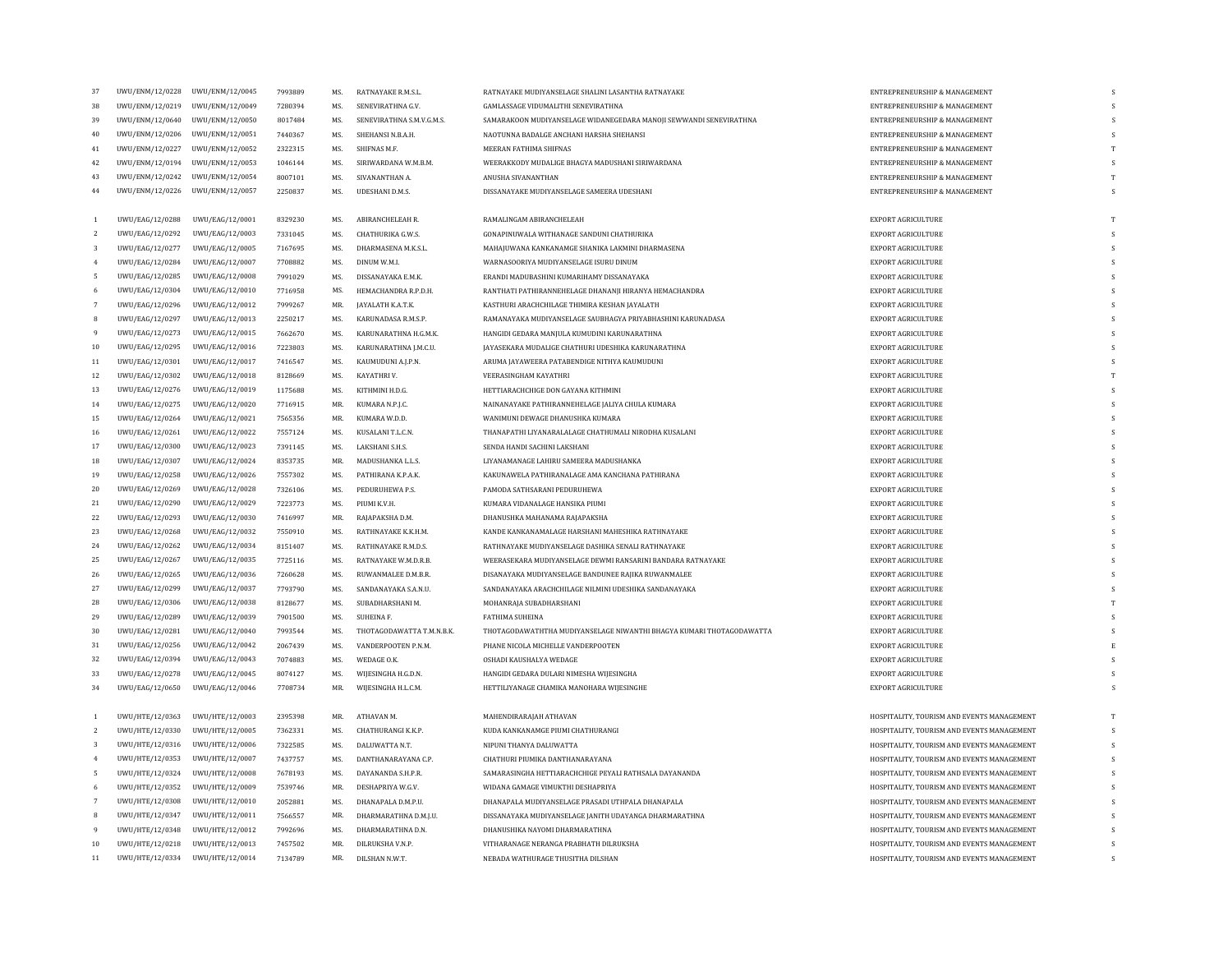| 37              | UWU/ENM/12/0228 | UWU/ENM/12/0045 | 7993889            | MS. | RATNAYAKE R.M.S.L.                      | RATNAYAKE MUDIYANSELAGE SHALINI LASANTHA RATNAYAKE                                        | ENTREPRENEURSHIP & MANAGEMENT              |                    |
|-----------------|-----------------|-----------------|--------------------|-----|-----------------------------------------|-------------------------------------------------------------------------------------------|--------------------------------------------|--------------------|
| 38              | UWU/ENM/12/0219 | UWU/ENM/12/0049 | 7280394            | MS. | SENEVIRATHNA G.V.                       | GAMLASSAGE VIDUMALITHI SENEVIRATHNA                                                       | ENTREPRENEURSHIP & MANAGEMENT              |                    |
| 39              | UWU/ENM/12/0640 | UWU/ENM/12/0050 | 8017484            | MS. | SENEVIRATHNA S.M.V.G.M.S.               | SAMARAKOON MUDIYANSELAGE WIDANEGEDARA MANOJI SEWWANDI SENEVIRATHNA                        | ENTREPRENEURSHIP & MANAGEMENT              | s                  |
| 40              | UWU/ENM/12/0206 | UWU/ENM/12/0051 | 7440367            | MS. | SHEHANSI N.B.A.H.                       | NAOTUNNA BADALGE ANCHANI HARSHA SHEHANSI                                                  | ENTREPRENEURSHIP & MANAGEMENT              | $\mathbf{C}$       |
| 41              | UWU/ENM/12/0227 | UWU/ENM/12/0052 | 2322315            | MS. | SHIFNAS M.F.                            | MEERAN FATHIMA SHIFNAS                                                                    | ENTREPRENEURSHIP & MANAGEMENT              | T                  |
| 42              | UWU/ENM/12/0194 | UWU/ENM/12/0053 | 1046144            | MS. | SIRIWARDANA W.M.B.M.                    | WEERAKKODY MUDALIGE BHAGYA MADUSHANI SIRIWARDANA                                          | ENTREPRENEURSHIP & MANAGEMENT              | $\mathbf{c}$       |
| 43              | UWU/ENM/12/0242 | UWU/ENM/12/0054 | 8007101            | MS. | SIVANANTHAN A                           | ANUSHA SIVANANTHAN                                                                        | ENTREPRENEURSHIP & MANAGEMENT              | T                  |
| $\bf 44$        | UWU/ENM/12/0226 | UWU/ENM/12/0057 | 2250837            | MS. | <b>UDESHANI D.M.S.</b>                  | DISSANAYAKE MUDIYANSELAGE SAMEERA UDESHANI                                                | ENTREPRENEURSHIP & MANAGEMENT              | $\mathbf{\hat{S}}$ |
|                 |                 |                 |                    |     |                                         |                                                                                           |                                            |                    |
| 1               | UWU/EAG/12/0288 | UWU/EAG/12/0001 | 8329230            | MS. | ABIRANCHELEAH R.                        | RAMALINGAM ABIRANCHELEAH                                                                  | EXPORT AGRICULTURE                         | T                  |
| $\overline{2}$  | UWU/EAG/12/0292 | UWU/EAG/12/0003 | 7331045            | MS. | CHATHURIKA G.W.S.                       | GONAPINUWALA WITHANAGE SANDUNI CHATHURIKA                                                 | EXPORT AGRICULTURE                         | s.                 |
| 3               | UWU/EAG/12/0277 | UWU/EAG/12/0005 | 7167695            | MS. | DHARMASENA M.K.S.L.                     | MAHAJUWANA KANKANAMGE SHANIKA LAKMINI DHARMASENA                                          | EXPORT AGRICULTURE                         |                    |
| $\overline{4}$  | UWU/EAG/12/0284 | UWU/EAG/12/0007 | 7708882            | MS. | DINUM W.M.I.                            | WARNASOORIYA MUDIYANSELAGE ISURU DINUM                                                    | <b>EXPORT AGRICULTURE</b>                  | s                  |
| 5               | UWU/EAG/12/0285 | UWU/EAG/12/0008 | 7991029            | MS. | DISSANAYAKA E.M.K.                      | ERANDI MADUBASHINI KUMARIHAMY DISSANAYAKA                                                 | EXPORT AGRICULTURE                         | S                  |
| 6               | UWU/EAG/12/0304 | UWU/EAG/12/0010 | 7716958            | MS. | HEMACHANDRA R.P.D.H.                    | RANTHATI PATHIRANNEHELAGE DHANANJI HIRANYA HEMACHANDRA                                    | <b>EXPORT AGRICULTURE</b>                  | $\mathbf{s}$       |
|                 | UWU/EAG/12/0296 | UWU/EAG/12/0012 | 7999267            | MR. | JAYALATH K.A.T.K                        | KASTHURI ARACHCHILAGE THIMIRA KESHAN JAYALATH                                             | <b>EXPORT AGRICULTURE</b>                  | S                  |
| 8               | UWU/EAG/12/0297 | UWU/EAG/12/0013 | 2250217            | MS. | <b>KARUNADASA R.M.S.P</b>               | RAMANAYAKA MUDIYANSELAGE SAUBHAGYA PRIYABHASHINI KARUNADASA                               | <b>EXPORT AGRICULTURE</b>                  | $\mathbf{C}$       |
| 9               | UWU/EAG/12/0273 | UWU/EAG/12/0015 | 7662670            | MS. | KARUNARATHNA H.G.M.K.                   | HANGIDI GEDARA MANJULA KUMUDINI KARUNARATHNA                                              | EXPORT AGRICULTURE                         | s.                 |
| $10\,$          | UWU/EAG/12/0295 | UWU/EAG/12/0016 | 7223803            | MS. | KARUNARATHNA J.M.C.U.                   | JAYASEKARA MUDALIGE CHATHURI UDESHIKA KARUNARATHNA                                        | EXPORT AGRICULTURE                         |                    |
| 11              | UWU/EAG/12/0301 | UWU/EAG/12/0017 | 7416547            | MS. | KAUMUDUNI A.J.P.N.                      | ARUMA JAYAWEERA PATABENDIGE NITHYA KAUMUDUNI                                              | <b>EXPORT AGRICULTURE</b>                  | s.                 |
| 12              | UWU/EAG/12/0302 | UWU/EAG/12/0018 | 8128669            | MS. | KAYATHRI V.                             | VEERASINGHAM KAYATHRI                                                                     | EXPORT AGRICULTURE                         | T                  |
| 13              | UWU/EAG/12/0276 | UWU/EAG/12/0019 | 1175688            | MS. | KITHMINI H.D.G.                         | HETTIARACHCHIGE DON GAYANA KITHMINI                                                       | <b>EXPORT AGRICULTURE</b>                  | $\mathbf{s}$       |
| 14              | UWU/EAG/12/0275 | UWU/EAG/12/0020 | 7716915            | MR. | KUMARA N.P.J.C.                         | NAINANAYAKE PATHIRANNEHELAGE JALIYA CHULA KUMARA                                          | EXPORT AGRICULTURE                         | s                  |
| 15              | UWU/EAG/12/0264 | UWU/EAG/12/0021 | 7565356            | MR. | KUMARA W.D.D.                           | WANIMUNI DEWAGE DHANUSHKA KUMARA                                                          | <b>EXPORT AGRICULTURE</b>                  | s                  |
| 16              | UWU/EAG/12/0261 | UWU/EAG/12/0022 | 7557124            | MS. | KUSALANI T.L.C.N.                       | THANAPATHI LIYANARALALAGE CHATHUMALI NIRODHA KUSALANI                                     | EXPORT AGRICULTURE                         | $\mathbf{s}$       |
| 17              | UWU/EAG/12/0300 | UWU/EAG/12/0023 | 7391145            | MS. | LAKSHANI S.H.S.                         | SENDA HANDI SACHINI LAKSHANI                                                              | <b>EXPORT AGRICULTURE</b>                  | s.                 |
| 18              | UWU/EAG/12/0307 | UWU/EAG/12/0024 |                    | MR. |                                         |                                                                                           |                                            | s                  |
| 19              |                 |                 | 8353735<br>7557302 | MS. | MADUSHANKA L.L.S.<br>PATHIRANA K.P.A.K. | LIYANAMANAGE LAHIRU SAMEERA MADUSHANKA<br>KAKUNAWELA PATHIRANALAGE AMA KANCHANA PATHIRANA | EXPORT AGRICULTURE<br>EXPORT AGRICULTURE   | s.                 |
|                 | UWU/EAG/12/0258 | UWU/EAG/12/0026 |                    |     |                                         |                                                                                           |                                            |                    |
| 20              | UWU/EAG/12/0269 | UWU/EAG/12/0028 | 7326106            | MS. | PEDURUHEWA P.S.                         | PAMODA SATHSARANI PEDURUHEWA                                                              | EXPORT AGRICULTURE                         | S                  |
| 21              | UWU/EAG/12/0290 | UWU/EAG/12/0029 | 7223773            | MS. | PIUMI K.V.H.                            | KUMARA VIDANALAGE HANSIKA PIUMI                                                           | EXPORT AGRICULTURE                         | s<br>s             |
| 22              | UWU/EAG/12/0293 | UWU/EAG/12/0030 | 7416997            | MR. | RAJAPAKSHA D.M.                         | DHANUSHKA MAHANAMA RAJAPAKSHA                                                             | EXPORT AGRICULTURE                         |                    |
| 23              | UWU/EAG/12/0268 | UWU/EAG/12/0032 | 7550910            | MS. | RATHNAYAKE K.K.H.M.                     | KANDE KANKANAMALAGE HARSHANI MAHESHIKA RATHNAYAKE                                         | EXPORT AGRICULTURE                         |                    |
| 24              | UWU/EAG/12/0262 | UWU/EAG/12/0034 | 8151407            | MS. | RATHNAYAKE R.M.D.S                      | RATHNAYAKE MUDIYANSELAGE DASHIKA SENALI RATHNAYAKE                                        | EXPORT AGRICULTURE                         | s.                 |
| 25              | UWU/EAG/12/0267 | UWU/EAG/12/0035 | 7725116            | MS. | RATNAYAKE W.M.D.R.B                     | WEERASEKARA MUDIYANSELAGE DEWMI RANSARINI BANDARA RATNAYAKE                               | EXPORT AGRICULTURE                         |                    |
| 26              | UWU/EAG/12/0265 | UWU/EAG/12/0036 | 7260628            | MS. | RUWANMALEE D.M.B.R.                     | DISANAYAKA MUDIYANSELAGE BANDUNEE RAJIKA RUWANMALEE                                       | EXPORT AGRICULTURE                         | <sup>S</sup>       |
| 27              | UWU/EAG/12/0299 | UWU/EAG/12/0037 | 7793790            | MS. | SANDANAYAKA S.A.N.U.                    | SANDANAYAKA ARACHCHILAGE NILMINI UDESHIKA SANDANAYAKA                                     | EXPORT AGRICULTURE                         | s.                 |
| 28              | UWU/EAG/12/0306 | UWU/EAG/12/0038 | 8128677            | MS. | SUBADHARSHANI M.                        | MOHANRAJA SUBADHARSHANI                                                                   | EXPORT AGRICULTURE                         | T                  |
| 29              | UWU/EAG/12/0289 | UWU/EAG/12/0039 | 7901500            | MS. | SUHEINA F.                              | <b>FATHIMA SUHEINA</b>                                                                    | <b>EXPORT AGRICULTURE</b>                  | $\mathbf{s}$       |
| 30              | UWU/EAG/12/0281 | UWU/EAG/12/0040 | 7993544            | MS. | THOTAGODAWATTA T.M.N.B.K.               | THOTAGODAWATHTHA MUDIYANSELAGE NIWANTHI BHAGYA KUMARI THOTAGODAWATTA                      | EXPORT AGRICULTURE                         | s                  |
| 31              | UWU/EAG/12/0256 | UWU/EAG/12/0042 | 2067439            | MS. | VANDERPOOTEN P.N.M.                     | PHANE NICOLA MICHELLE VANDERPOOTEN                                                        | EXPORT AGRICULTURE                         | $\mathbf{F}$       |
| 32              | UWU/EAG/12/0394 | UWU/EAG/12/0043 | 7074883            | MS. | WEDAGE O.K.                             | OSHADI KAUSHALYA WEDAGE                                                                   | EXPORT AGRICULTURE                         | S                  |
| 33              | UWU/EAG/12/0278 | UWU/EAG/12/0045 | 8074127            | MS. | WIJESINGHA H.G.D.N.                     | HANGIDI GEDARA DULARI NIMESHA WIJESINGHA                                                  | <b>EXPORT AGRICULTURE</b>                  | s                  |
| 34              | UWU/EAG/12/0650 | UWU/EAG/12/0046 | 7708734            | MR. | WIJESINGHA H.L.C.M.                     | HETTILIYANAGE CHAMIKA MANOHARA WIJESINGHE                                                 | EXPORT AGRICULTURE                         |                    |
| 1               | UWU/HTE/12/0363 | UWU/HTE/12/0003 | 2395398            | MR. | ATHAVAN M.                              | MAHENDIRARAJAH ATHAVAN                                                                    | HOSPITALITY, TOURISM AND EVENTS MANAGEMENT | T                  |
| $\overline{2}$  | UWU/HTE/12/0330 | UWU/HTE/12/0005 | 7362331            | MS. | CHATHURANGI K.K.P.                      | KUDA KANKANAMGE PIUMI CHATHURANGI                                                         | HOSPITALITY, TOURISM AND EVENTS MANAGEMENT | $\mathbf{\hat{S}}$ |
| 3               | UWU/HTE/12/0316 | UWU/HTE/12/0006 | 7322585            | MS. | DALUWATTA N.T.                          | NIPUNI THANYA DALUWATTA                                                                   | HOSPITALITY, TOURISM AND EVENTS MANAGEMENT | S                  |
| $\overline{4}$  | UWU/HTE/12/0353 | UWU/HTE/12/0007 | 7437757            | MS. | DANTHANARAYANA C.P.                     | CHATHURI PIUMIKA DANTHANARAYANA                                                           | HOSPITALITY, TOURISM AND EVENTS MANAGEMENT | S                  |
| 5               | UWU/HTE/12/0324 | UWU/HTE/12/0008 | 7678193            | MS. | DAYANANDA S.H.P.R.                      | SAMARASINGHA HETTIARACHCHIGE PEYALI RATHSALA DAYANANDA                                    | HOSPITALITY, TOURISM AND EVENTS MANAGEMENT | <sup>S</sup>       |
| 6               | UWU/HTE/12/0352 | UWU/HTE/12/0009 | 7539746            | MR  | DESHAPRIYA W.G.V.                       | WIDANA GAMAGE VIMUKTHI DESHAPRIYA                                                         | HOSPITALITY, TOURISM AND EVENTS MANAGEMENT |                    |
| $7\overline{ }$ | UWU/HTE/12/0308 | UWU/HTE/12/0010 | 2052881            | MS. | DHANAPALA D.M.P.U.                      | DHANAPALA MUDIYANSELAGE PRASADI UTHPALA DHANAPALA                                         | HOSPITALITY, TOURISM AND EVENTS MANAGEMENT | <sup>S</sup>       |
| 8               | UWU/HTE/12/0347 | UWU/HTE/12/0011 | 7566557            | MR. | DHARMARATHNA D.M.J.U.                   | DISSANAYAKA MUDIYANSELAGE JANITH UDAYANGA DHARMARATHNA                                    | HOSPITALITY, TOURISM AND EVENTS MANAGEMENT |                    |
| $\mathbf{q}$    | UWU/HTE/12/0348 | UWU/HTE/12/0012 | 7992696            | MS. | DHARMARATHNA D.N.                       | DHANUSHIKA NAYOMI DHARMARATHNA                                                            | HOSPITALITY, TOURISM AND EVENTS MANAGEMENT | <sup>S</sup>       |
| $10\,$          | UWU/HTE/12/0218 | UWU/HTE/12/0013 | 7457502            | MR. | DILRUKSHA V.N.P.                        | VITHARANAGE NERANGA PRABHATH DILRUKSHA                                                    | HOSPITALITY, TOURISM AND EVENTS MANAGEMENT | S                  |
| $11\,$          | UWU/HTE/12/0334 | UWU/HTE/12/0014 | 7134789            | MR. | DILSHAN N.W.T.                          | NEBADA WATHURAGE THUSITHA DILSHAN                                                         | HOSPITALITY, TOURISM AND EVENTS MANAGEMENT |                    |
|                 |                 |                 |                    |     |                                         |                                                                                           |                                            |                    |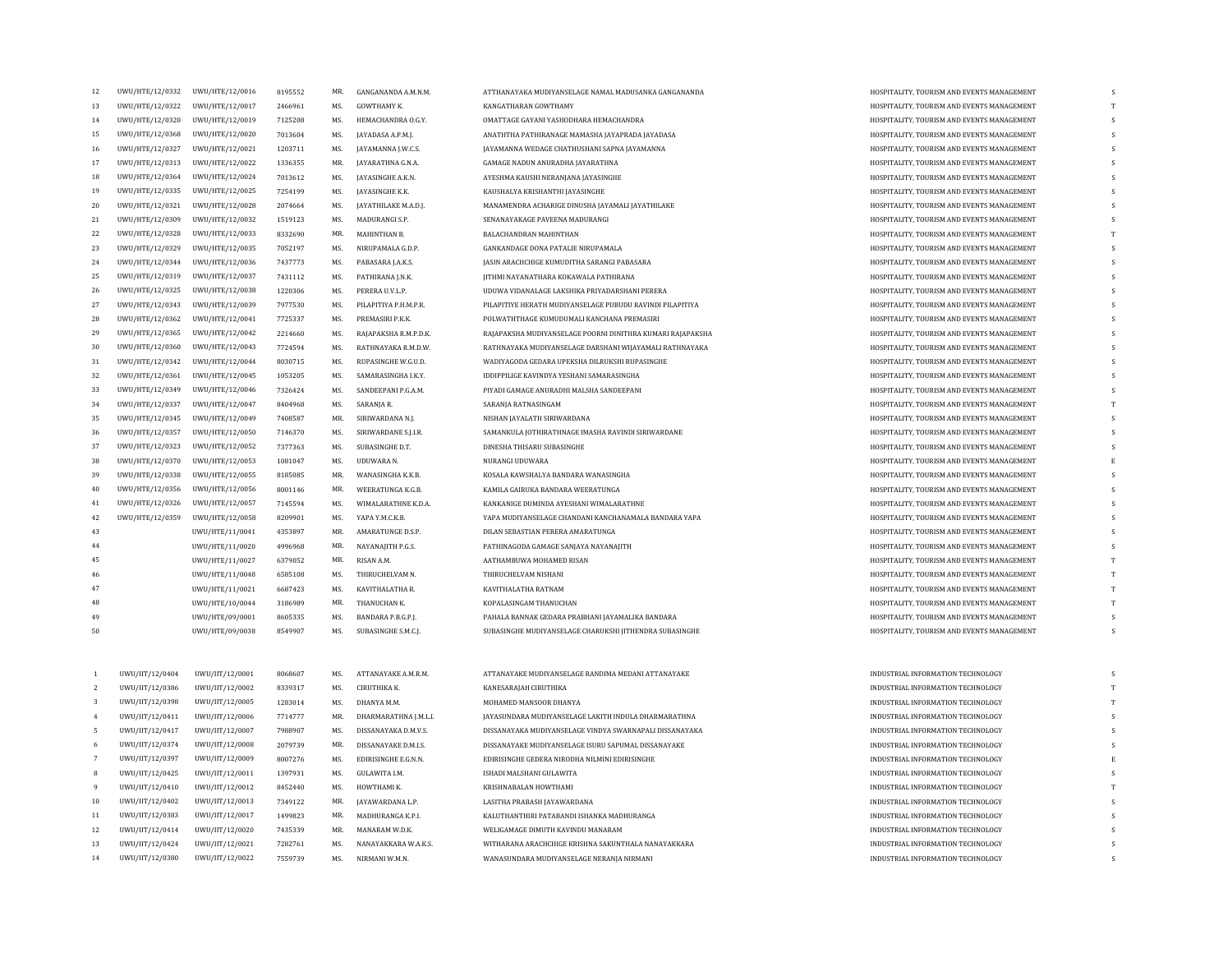| 12             |                                 |                 |         | MR. |                         |                                                            |                                                                                          |   |
|----------------|---------------------------------|-----------------|---------|-----|-------------------------|------------------------------------------------------------|------------------------------------------------------------------------------------------|---|
|                | UWU/HTE/12/0332 UWU/HTE/12/0016 |                 | 8195552 |     | GANGANANDA A.M.N.M.     | ATTHANAYAKA MUDIYANSELAGE NAMAL MADUSANKA GANGANANDA       | HOSPITALITY, TOURISM AND EVENTS MANAGEMENT                                               | S |
| 13             | UWU/HTE/12/0322                 | UWU/HTE/12/0017 | 2466961 | MS. | GOWTHAMY K.             | KANGATHARAN GOWTHAMY                                       | HOSPITALITY, TOURISM AND EVENTS MANAGEMENT                                               |   |
| 14             | UWU/HTE/12/0320                 | UWU/HTE/12/0019 | 7125208 | MS. | HEMACHANDRA O.G.Y.      | OMATTAGE GAYANI YASHODHARA HEMACHANDRA                     | HOSPITALITY, TOURISM AND EVENTS MANAGEMENT                                               | s |
| 15             | UWU/HTE/12/0368                 | UWU/HTE/12/0020 | 7013604 | MS. | JAYADASA A.P.M.J.       | ANATHTHA PATHIRANAGE MAMASHA JAYAPRADA JAYADASA            | HOSPITALITY, TOURISM AND EVENTS MANAGEMENT                                               |   |
| 16             | UWU/HTE/12/0327                 | UWU/HTE/12/0021 | 1203711 | MS. | JAYAMANNA J.W.C.S.      | JAYAMANNA WEDAGE CHATHUSHANI SAPNA JAYAMANNA               | HOSPITALITY, TOURISM AND EVENTS MANAGEMENT                                               | S |
| $17\,$         | UWU/HTE/12/0313                 | UWU/HTE/12/0022 | 1336355 | MR. | JAYARATHNA G.N.A.       | GAMAGE NADUN ANURADHA JAYARATHNA                           | HOSPITALITY, TOURISM AND EVENTS MANAGEMENT                                               |   |
| 18             | UWU/HTE/12/0364                 | UWU/HTE/12/0024 | 7013612 | MS. | JAYASINGHE A.K.N.       | AYESHMA KAUSHI NERANJANA JAYASINGHE                        | HOSPITALITY, TOURISM AND EVENTS MANAGEMENT                                               | S |
| 19             | UWU/HTE/12/0335                 | UWU/HTE/12/0025 | 7254199 | MS. | JAYASINGHE K.K.         | KAUSHALYA KRISHANTHI JAYASINGHE                            | HOSPITALITY, TOURISM AND EVENTS MANAGEMENT                                               |   |
| $20\,$         | UWU/HTE/12/0321                 | UWU/HTE/12/0028 | 2074664 | MS. | JAYATHILAKE M.A.D.J.    | MANAMENDRA ACHARIGE DINUSHA JAYAMALI JAYATHILAKE           | HOSPITALITY, TOURISM AND EVENTS MANAGEMENT                                               | S |
| 21             | UWU/HTE/12/0309                 | UWU/HTE/12/0032 | 1519123 | MS. | MADURANGI S.P.          | SENANAYAKAGE PAVEENA MADURANGI                             | HOSPITALITY, TOURISM AND EVENTS MANAGEMENT                                               |   |
| 22             | UWU/HTE/12/0328                 | UWU/HTE/12/0033 | 8332690 | MR. | MAHINTHAN B.            | BALACHANDRAN MAHINTHAN                                     | HOSPITALITY, TOURISM AND EVENTS MANAGEMENT                                               |   |
| 23             | UWU/HTE/12/0329                 | UWU/HTE/12/0035 | 7052197 | MS. | NIRUPAMALA G.D.P.       | GANKANDAGE DONA PATALIE NIRUPAMALA                         | HOSPITALITY, TOURISM AND EVENTS MANAGEMENT                                               |   |
| 24             | UWU/HTE/12/0344                 | UWU/HTE/12/0036 | 7437773 | MS. | PABASARA J.A.K.S.       | JASIN ARACHCHIGE KUMUDITHA SARANGI PABASARA                | HOSPITALITY, TOURISM AND EVENTS MANAGEMENT                                               |   |
| 25             | UWU/HTE/12/0319                 | UWU/HTE/12/0037 | 7431112 | MS. | PATHIRANA J.N.K.        | JITHMI NAYANATHARA KOKAWALA PATHIRANA                      | HOSPITALITY, TOURISM AND EVENTS MANAGEMENT                                               |   |
| 26             | UWU/HTE/12/0325                 | UWU/HTE/12/0038 | 1220306 | MS. | PERERA U.V.L.P.         | UDUWA VIDANALAGE LAKSHIKA PRIYADARSHANI PERERA             | HOSPITALITY, TOURISM AND EVENTS MANAGEMENT                                               |   |
| 27             | UWU/HTE/12/0343                 | UWU/HTE/12/0039 | 7977530 | MS. | PILAPITIYA P.H.M.P.R.   | PILAPITIYE HERATH MUDIYANSELAGE PUBUDU RAVINDI PILAPITIYA  | HOSPITALITY, TOURISM AND EVENTS MANAGEMENT                                               | s |
| 28             | UWU/HTE/12/0362                 | UWU/HTE/12/0041 | 7725337 | MS. | PREMASIRI P.K.K.        | POLWATHTHAGE KUMUDUMALI KANCHANA PREMASIRI                 | HOSPITALITY, TOURISM AND EVENTS MANAGEMENT                                               |   |
| 29             | UWU/HTE/12/0365                 | UWU/HTE/12/0042 | 2214660 | MS. | RAJAPAKSHA R.M.P.D.K.   | RAJAPAKSHA MUDIYANSELAGE POORNI DINITHRA KUMARI RAJAPAKSHA | HOSPITALITY, TOURISM AND EVENTS MANAGEMENT                                               | s |
| 30             | UWU/HTE/12/0360                 | UWU/HTE/12/0043 | 7724594 | MS. | RATHNAYAKA R.M.D.W.     | RATHNAYAKA MUDIYANSELAGE DARSHANI WIJAYAMALI RATHNAYAKA    | HOSPITALITY, TOURISM AND EVENTS MANAGEMENT                                               |   |
| 31             | UWU/HTE/12/0342                 | UWU/HTE/12/0044 | 8030715 | MS. | RUPASINGHE W.G.U.D.     | WADIYAGODA GEDARA UPEKSHA DILRUKSHI RUPASINGHE             | HOSPITALITY. TOURISM AND EVENTS MANAGEMENT                                               | S |
| 32             | UWU/HTE/12/0361                 | UWU/HTE/12/0045 | 1053205 | MS. | SAMARASINGHA I.K.Y.     | IDDIPPILIGE KAVINDYA YESHANI SAMARASINGHA                  | HOSPITALITY, TOURISM AND EVENTS MANAGEMENT                                               |   |
| 33             | UWU/HTE/12/0349                 | UWU/HTE/12/0046 | 7326424 | MS. | SANDEEPANI P.G.A.M.     | PIYADI GAMAGE ANURADHI MALSHA SANDEEPANI                   | HOSPITALITY, TOURISM AND EVENTS MANAGEMENT                                               | S |
| 34             | UWU/HTE/12/0337                 | UWU/HTE/12/0047 | 8404968 | MS. | SARANJA R.              | SARANJA RATNASINGAM                                        | HOSPITALITY, TOURISM AND EVENTS MANAGEMENT                                               |   |
| 35             | UWU/HTE/12/0345                 | UWU/HTE/12/0049 | 7408587 | MR. | SIRIWARDANA N.J.        | NISHAN JAYALATH SIRIWARDANA                                | HOSPITALITY, TOURISM AND EVENTS MANAGEMENT                                               | S |
| 36             | UWU/HTE/12/0357                 | UWU/HTE/12/0050 | 7146370 | MS. | SIRIWARDANE S.J.LR.     | SAMANKULA JOTHIRATHNAGE IMASHA RAVINDI SIRIWARDANE         | HOSPITALITY, TOURISM AND EVENTS MANAGEMENT                                               |   |
| 37             | UWU/HTE/12/0323                 | UWU/HTE/12/0052 | 7377363 | MS. | SUBASINGHE D.T.         | DINESHA THISARU SUBASINGHE                                 |                                                                                          |   |
| 38             | UWU/HTE/12/0370                 | UWU/HTE/12/0053 | 1081047 | MS. | UDUWARA N.              | NURANGI UDUWARA                                            | HOSPITALITY, TOURISM AND EVENTS MANAGEMENT<br>HOSPITALITY, TOURISM AND EVENTS MANAGEMENT |   |
|                |                                 |                 |         | MR. |                         |                                                            |                                                                                          | S |
| 39             | UWU/HTE/12/0338                 | UWU/HTE/12/0055 | 8185085 |     | WANASINGHA K.K.B.       | KOSALA KAWSHALYA BANDARA WANASINGHA                        | HOSPITALITY, TOURISM AND EVENTS MANAGEMENT                                               |   |
| 40             | UWU/HTE/12/0356                 | UWU/HTE/12/0056 | 8001146 | MR. | <b>WEERATUNGA K.G.B</b> | KAMILA GAIRUKA BANDARA WEERATUNGA                          | HOSPITALITY, TOURISM AND EVENTS MANAGEMENT                                               |   |
| 41             | UWU/HTE/12/0326                 | UWU/HTE/12/0057 | 7145594 | MS. | WIMALARATHNE K.D.A.     | KANKANIGE DUMINDA AYESHANI WIMALARATHNE                    | HOSPITALITY, TOURISM AND EVENTS MANAGEMENT                                               |   |
| 42             | UWU/HTE/12/0359                 | UWU/HTE/12/0058 | 8209901 | MS. | YAPA Y.M.C.K.B.         | YAPA MUDIYANSELAGE CHANDANI KANCHANAMALA BANDARA YAPA      | HOSPITALITY, TOURISM AND EVENTS MANAGEMENT                                               |   |
| 43             |                                 | UWU/HTE/11/0041 | 4353897 | MR. | AMARATUNGE D.S.P.       | DILAN SEBASTIAN PERERA AMARATUNGA                          | HOSPITALITY, TOURISM AND EVENTS MANAGEMENT                                               |   |
| 44             |                                 | UWU/HTE/11/0020 | 4996968 | MR. | NAYANAJITH P.G.S.       | PATHINAGODA GAMAGE SANJAYA NAYANAJITH                      | HOSPITALITY, TOURISM AND EVENTS MANAGEMENT                                               |   |
| 45             |                                 | UWU/HTE/11/0027 | 6379052 | MR. | RISAN A.M.              | AATHAMBUWA MOHAMED RISAN                                   | HOSPITALITY, TOURISM AND EVENTS MANAGEMENT                                               |   |
| 46             |                                 | UWU/HTE/11/0048 | 6585108 | MS. | THIRUCHELVAM N.         | THIRUCHELVAM NISHANI                                       | HOSPITALITY, TOURISM AND EVENTS MANAGEMENT                                               | T |
| 47             |                                 | UWU/HTE/11/0021 | 6687423 | MS. | KAVITHALATHA R.         | KAVITHALATHA RATNAM                                        | HOSPITALITY, TOURISM AND EVENTS MANAGEMENT                                               |   |
| 48             |                                 | UWU/HTE/10/0044 | 3186989 | MR. | THANUCHAN K.            | KOPALASINGAM THANUCHAN                                     | HOSPITALITY, TOURISM AND EVENTS MANAGEMENT                                               |   |
| 49             |                                 | UWU/HTE/09/0001 | 8605335 | MS. | BANDARA P.B.G.P.J.      | PAHALA BANNAK GEDARA PRABHANI JAYAMALIKA BANDARA           | HOSPITALITY, TOURISM AND EVENTS MANAGEMENT                                               |   |
| 50             |                                 | UWU/HTE/09/0038 | 8549907 | MS. | SUBASINGHE S.M.C.J.     | SUBASINGHE MUDIYANSELAGE CHARUKSHI JITHENDRA SUBASINGHE    | HOSPITALITY, TOURISM AND EVENTS MANAGEMENT                                               | S |
|                |                                 |                 |         |     |                         |                                                            |                                                                                          |   |
|                |                                 |                 |         |     |                         |                                                            |                                                                                          |   |
| 1              | UWU/IIT/12/0404                 | UWU/IIT/12/0001 | 8068607 | MS. | ATTANAYAKE A.M.R.M.     | ATTANAYAKE MUDIYANSELAGE RANDIMA MEDANI ATTANAYAKE         | INDUSTRIAL INFORMATION TECHNOLOGY                                                        |   |
| $\overline{2}$ | UWU/IIT/12/0386                 | UWU/IIT/12/0002 | 8339317 | MS. | CIRUTHIKA K.            | KANESARAJAH CIRUTHIKA                                      | INDUSTRIAL INFORMATION TECHNOLOGY                                                        | T |
| 3              | UWU/IIT/12/0398                 | UWU/IIT/12/0005 | 1283014 | MS. | DHANYA M.M.             | MOHAMED MANSOOR DHANYA                                     | INDUSTRIAL INFORMATION TECHNOLOGY                                                        | T |
| $\overline{4}$ | UWU/IIT/12/0411                 | UWU/IIT/12/0006 | 7714777 | MR. | DHARMARATHNA J.M.L.I.   | JAYASUNDARA MUDIYANSELAGE LAKITH INDULA DHARMARATHNA       | INDUSTRIAL INFORMATION TECHNOLOGY                                                        | S |
| 5              | UWU/IIT/12/0417                 | UWU/IIT/12/0007 | 7988907 | MS. | DISSANAYAKA D.M.V.S.    | DISSANAYAKA MUDIYANSELAGE VINDYA SWARNAPALI DISSANAYAKA    | INDUSTRIAL INFORMATION TECHNOLOGY                                                        | S |
| 6              | UWU/IIT/12/0374                 | UWU/IIT/12/0008 | 2079739 | MR. | DISSANAYAKE D.M.I.S.    | DISSANAYAKE MUDIYANSELAGE ISURU SAPUMAL DISSANAYAKE        | INDUSTRIAL INFORMATION TECHNOLOGY                                                        | S |
| 7              | UWU/IIT/12/0397                 | UWU/IIT/12/0009 | 8007276 | MS. | EDIRISINGHE E.G.N.N.    | EDIRISINGHE GEDERA NIRODHA NILMINI EDIRISINGHE             | INDUSTRIAL INFORMATION TECHNOLOGY                                                        |   |
| 8              | UWU/IIT/12/0425                 | UWU/IIT/12/0011 | 1397931 | MS. | <b>GULAWITA I.M.</b>    | ISHADI MALSHANI GULAWITA                                   | INDUSTRIAL INFORMATION TECHNOLOGY                                                        | S |
| $\mathbf{q}$   | UWU/IIT/12/0410                 | UWU/IIT/12/0012 | 8452440 | MS. | HOWTHAMI K.             | KRISHNABALAN HOWTHAMI                                      | INDUSTRIAL INFORMATION TECHNOLOGY                                                        |   |
| 10             | UWU/IIT/12/0402                 | UWU/IIT/12/0013 | 7349122 | MR. | <b>JAYAWARDANA L.P.</b> | LASITHA PRABASH JAYAWARDANA                                | INDUSTRIAL INFORMATION TECHNOLOGY                                                        |   |
|                |                                 |                 |         |     |                         |                                                            |                                                                                          |   |

| 38             | UWU/HTE/12/0370 | UWU/HTE/12/0053 | 1081047 | MS. | UDUWARA N.            | NURANGI UDUWARA                                         | HOSPITALITY, TOURISM AND EVENTS MANAGEMENT |  |
|----------------|-----------------|-----------------|---------|-----|-----------------------|---------------------------------------------------------|--------------------------------------------|--|
| 39             | UWU/HTE/12/0338 | UWU/HTE/12/0055 | 8185085 | MR. | WANASINGHA K.K.B.     | KOSALA KAWSHALYA BANDARA WANASINGHA                     | HOSPITALITY, TOURISM AND EVENTS MANAGEMENT |  |
| 40             | UWU/HTE/12/0356 | UWU/HTE/12/0056 | 8001146 | MR. | WEERATUNGA K.G.B.     | KAMILA GAIRUKA BANDARA WEERATUNGA                       | HOSPITALITY, TOURISM AND EVENTS MANAGEMENT |  |
| 41             | UWU/HTE/12/0326 | UWU/HTE/12/0057 | 7145594 | MS. | WIMALARATHNE K.D.A.   | KANKANIGE DUMINDA AYESHANI WIMALARATHNE                 | HOSPITALITY, TOURISM AND EVENTS MANAGEMENT |  |
| 42             | UWU/HTE/12/0359 | UWU/HTE/12/0058 | 8209901 | MS. | YAPA Y.M.C.K.B.       | YAPA MUDIYANSELAGE CHANDANI KANCHANAMALA BANDARA YAPA   | HOSPITALITY, TOURISM AND EVENTS MANAGEMENT |  |
| 43             |                 | UWU/HTE/11/0041 | 4353897 | MR. | AMARATUNGE D.S.P.     | DILAN SEBASTIAN PERERA AMARATUNGA                       | HOSPITALITY, TOURISM AND EVENTS MANAGEMENT |  |
| 44             |                 | UWU/HTE/11/0020 | 4996968 | MR. | NAYANAIITH P.G.S.     | PATHINAGODA GAMAGE SANJAYA NAYANAJITH                   | HOSPITALITY, TOURISM AND EVENTS MANAGEMENT |  |
| 45             |                 | UWU/HTE/11/0027 | 6379052 | MR. | RISAN A.M.            | AATHAMBUWA MOHAMED RISAN                                | HOSPITALITY. TOURISM AND EVENTS MANAGEMENT |  |
| 46             |                 | UWU/HTE/11/0048 | 6585108 | MS. | THIRUCHELVAM N.       | THIRUCHELVAM NISHANI                                    | HOSPITALITY, TOURISM AND EVENTS MANAGEMENT |  |
| 47             |                 | UWU/HTE/11/0021 | 6687423 | MS. | KAVITHALATHA R.       | KAVITHALATHA RATNAM                                     | HOSPITALITY, TOURISM AND EVENTS MANAGEMENT |  |
| 48             |                 | UWU/HTE/10/0044 | 3186989 | MR. | THANUCHAN K.          | KOPALASINGAM THANUCHAN                                  | HOSPITALITY, TOURISM AND EVENTS MANAGEMENT |  |
| 49             |                 | UWU/HTE/09/0001 | 8605335 | MS. | BANDARA P.B.G.P.J.    | PAHALA BANNAK GEDARA PRABHANI JAYAMALIKA BANDARA        | HOSPITALITY, TOURISM AND EVENTS MANAGEMENT |  |
| 50             |                 | UWU/HTE/09/0038 | 8549907 | MS. | SUBASINGHE S.M.C.J.   | SUBASINGHE MUDIYANSELAGE CHARUKSHI JITHENDRA SUBASINGHE | HOSPITALITY, TOURISM AND EVENTS MANAGEMENT |  |
|                |                 |                 |         |     |                       |                                                         |                                            |  |
|                |                 |                 |         |     |                       |                                                         |                                            |  |
|                | UWU/IIT/12/0404 | UWU/IIT/12/0001 | 8068607 | MS. | ATTANAYAKE A.M.R.M.   | ATTANAYAKE MUDIYANSELAGE RANDIMA MEDANI ATTANAYAKE      | INDUSTRIAL INFORMATION TECHNOLOGY          |  |
| <sup>2</sup>   | UWU/IIT/12/0386 | UWU/IIT/12/0002 | 8339317 | MS. | CIRUTHIKA K.          | KANESARAJAH CIRUTHIKA                                   | INDUSTRIAL INFORMATION TECHNOLOGY          |  |
| 3              | UWU/IIT/12/0398 | UWU/IIT/12/0005 | 1283014 | MS. | DHANYA M.M.           | MOHAMED MANSOOR DHANYA                                  | INDUSTRIAL INFORMATION TECHNOLOGY          |  |
| $\overline{4}$ | UWU/IIT/12/0411 | UWU/IIT/12/0006 | 7714777 | MR. | DHARMARATHNA J.M.L.I. | JAYASUNDARA MUDIYANSELAGE LAKITH INDULA DHARMARATHNA    | INDUSTRIAL INFORMATION TECHNOLOGY          |  |
| 5              | UWU/IIT/12/0417 | UWU/IIT/12/0007 | 7988907 | MS. | DISSANAYAKA D.M.V.S.  | DISSANAYAKA MUDIYANSELAGE VINDYA SWARNAPALI DISSANAYAKA | INDUSTRIAL INFORMATION TECHNOLOGY          |  |
| 6              | UWU/IIT/12/0374 | UWU/IIT/12/0008 | 2079739 | MR. | DISSANAYAKE D.M.I.S.  | DISSANAYAKE MUDIYANSELAGE ISURU SAPUMAL DISSANAYAKE     | INDUSTRIAL INFORMATION TECHNOLOGY          |  |
|                | UWU/IIT/12/0397 | UWU/IIT/12/0009 | 8007276 | MS. | EDIRISINGHE E.G.N.N.  | EDIRISINGHE GEDERA NIRODHA NILMINI EDIRISINGHE          | INDUSTRIAL INFORMATION TECHNOLOGY          |  |
| 8              | UWU/IIT/12/0425 | UWU/IIT/12/0011 | 1397931 | MS. | <b>GULAWITA I.M.</b>  | ISHADI MALSHANI GULAWITA                                | INDUSTRIAL INFORMATION TECHNOLOGY          |  |
| -9             | UWU/IIT/12/0410 | UWU/IIT/12/0012 | 8452440 | MS. | HOWTHAMI K.           | KRISHNABALAN HOWTHAMI                                   | INDUSTRIAL INFORMATION TECHNOLOGY          |  |
| 10             | UWU/IIT/12/0402 | UWU/IIT/12/0013 | 7349122 | MR. | JAYAWARDANA L.P.      | LASITHA PRABASH JAYAWARDANA                             | INDUSTRIAL INFORMATION TECHNOLOGY          |  |
| 11             | UWU/IIT/12/0383 | UWU/IIT/12/0017 | 1499823 | MR. | MADHURANGA K.P.I.     | KALUTHANTHIRI PATABANDI ISHANKA MADHURANGA              | INDUSTRIAL INFORMATION TECHNOLOGY          |  |
| 12             | UWU/IIT/12/0414 | UWU/IIT/12/0020 | 7435339 | MR. | MANARAM W.D.K.        | WELIGAMAGE DIMUTH KAVINDU MANARAM                       | INDUSTRIAL INFORMATION TECHNOLOGY          |  |
| 13             | UWU/IIT/12/0424 | UWU/IIT/12/0021 | 7282761 | MS. | NANAYAKKARA W.A.K.S.  | WITHARANA ARACHCHIGE KRISHNA SAKUNTHALA NANAYAKKARA     | INDUSTRIAL INFORMATION TECHNOLOGY          |  |
| 14             | UWU/IIT/12/0380 | UWU/IIT/12/0022 | 7559739 | MS. | NIRMANI W.M.N.        | WANASUNDARA MUDIYANSELAGE NERANJA NIRMANI               | INDUSTRIAL INFORMATION TECHNOLOGY          |  |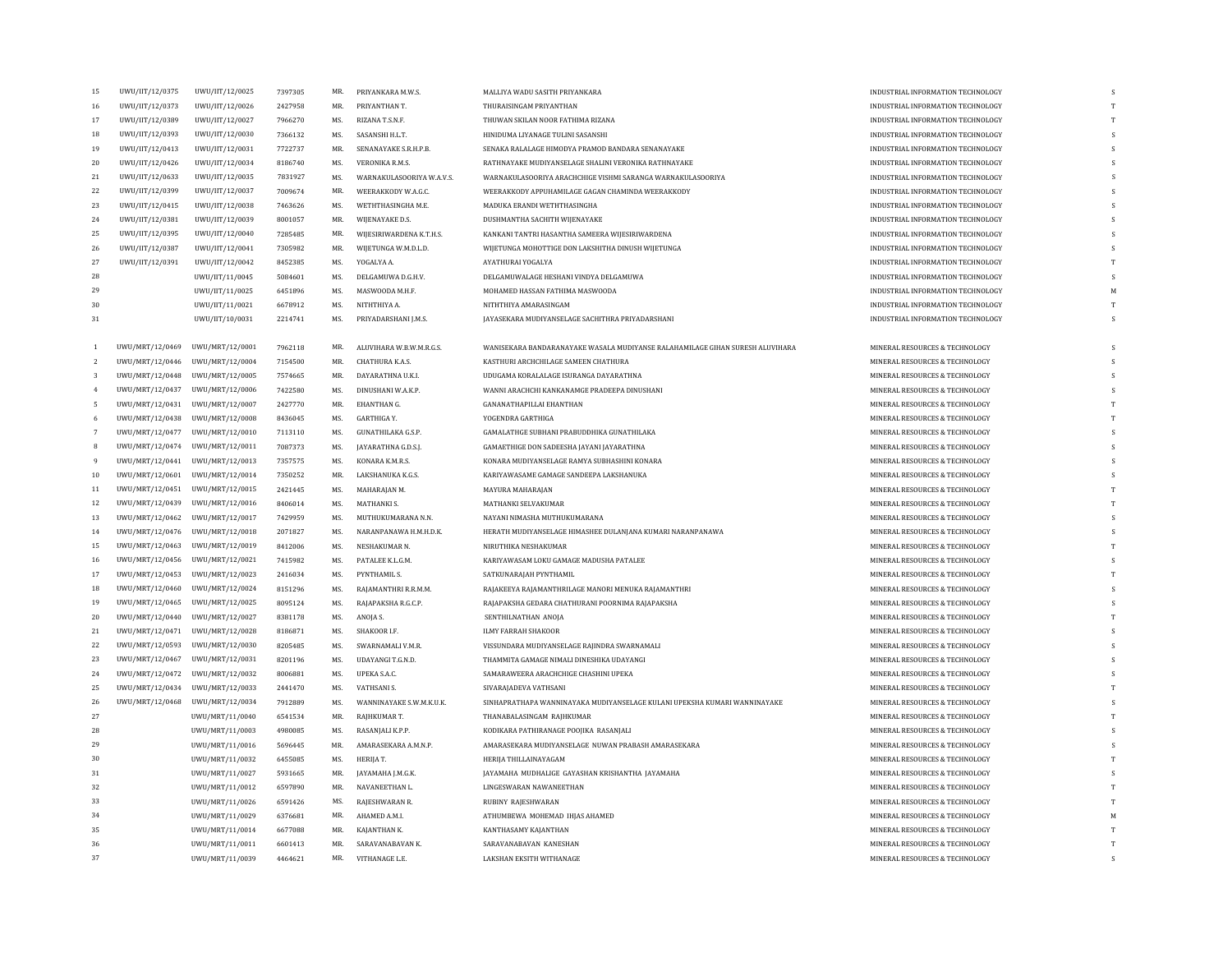| 15                   | UWU/IIT/12/0375 | UWU/IIT/12/0025                    | 7397305 | MR. | PRIYANKARA M.W.S.         | MALLIYA WADU SASITH PRIYANKARA                                                | INDUSTRIAL INFORMATION TECHNOLOGY | S            |
|----------------------|-----------------|------------------------------------|---------|-----|---------------------------|-------------------------------------------------------------------------------|-----------------------------------|--------------|
| 16                   | UWU/IIT/12/0373 | UWU/IIT/12/0026                    | 2427958 | MR. | PRIYANTHAN T.             | THURAISINGAM PRIYANTHAN                                                       | INDUSTRIAL INFORMATION TECHNOLOGY | T            |
| 17                   | UWU/IIT/12/0389 | UWU/IIT/12/0027                    | 7966270 | MS. | RIZANA T.S.N.F.           | THUWAN SKILAN NOOR FATHIMA RIZANA                                             | INDUSTRIAL INFORMATION TECHNOLOGY | T            |
| 18                   | UWU/IIT/12/0393 | UWU/IIT/12/0030                    | 7366132 | MS. | SASANSHI H.L.T.           | HINIDUMA LIYANAGE TULINI SASANSHI                                             | INDUSTRIAL INFORMATION TECHNOLOGY | s            |
| 19                   | UWU/IIT/12/0413 | UWU/IIT/12/0031                    | 7722737 | MR. | SENANAYAKE S.R.H.P.B.     | SENAKA RALALAGE HIMODYA PRAMOD BANDARA SENANAYAKE                             | INDUSTRIAL INFORMATION TECHNOLOGY | S            |
| 20                   | UWU/IIT/12/0426 | UWU/IIT/12/0034                    | 8186740 | MS. | VERONIKA R.M.S.           | RATHNAYAKE MUDIYANSELAGE SHALINI VERONIKA RATHNAYAKE                          | INDUSTRIAL INFORMATION TECHNOLOGY | s            |
| 21                   | UWU/IIT/12/0633 | UWU/IIT/12/0035                    | 7831927 | MS. | WARNAKULASOORIYA W.A.V.S. | WARNAKULASOORIYA ARACHCHIGE VISHMI SARANGA WARNAKULASOORIYA                   | INDUSTRIAL INFORMATION TECHNOLOGY | s            |
| 22                   | UWU/IIT/12/0399 | UWU/IIT/12/0037                    | 7009674 | MR. | WEERAKKODY W.A.G.C.       | WEERAKKODY APPUHAMILAGE GAGAN CHAMINDA WEERAKKODY                             | INDUSTRIAL INFORMATION TECHNOLOGY | S            |
| 23                   | UWU/IIT/12/0415 | UWU/IIT/12/0038                    | 7463626 | MS. | WETHTHASINGHA M.E.        | MADUKA ERANDI WETHTHASINGHA                                                   | INDUSTRIAL INFORMATION TECHNOLOGY | s            |
| 24                   | UWU/IIT/12/0381 | UWU/IIT/12/0039                    | 8001057 | MR. | WIJENAYAKE D.S.           | DUSHMANTHA SACHITH WIJENAYAKE                                                 | INDUSTRIAL INFORMATION TECHNOLOGY | s            |
| 25                   | UWU/IIT/12/0395 | UWU/IIT/12/0040                    | 7285485 | MR. | WIJESIRIWARDENA K.T.H.S.  | KANKANI TANTRI HASANTHA SAMEERA WIJESIRIWARDENA                               | INDUSTRIAL INFORMATION TECHNOLOGY | s            |
| 26                   | UWU/IIT/12/0387 | UWU/IIT/12/0041                    | 7305982 | MR. | WIJETUNGA W.M.D.L.D.      | WIJETUNGA MOHOTTIGE DON LAKSHITHA DINUSH WIJETUNGA                            | INDUSTRIAL INFORMATION TECHNOLOGY | s            |
| 27                   | UWU/IIT/12/0391 | UWU/IIT/12/0042                    | 8452385 | MS. | YOGALYA A.                | AYATHURAI YOGALYA                                                             | INDUSTRIAL INFORMATION TECHNOLOGY |              |
| 28                   |                 | UWU/IIT/11/0045                    | 5084601 | MS. | DELGAMUWA D.G.H.V.        | DELGAMUWALAGE HESHANI VINDYA DELGAMUWA                                        | INDUSTRIAL INFORMATION TECHNOLOGY | s            |
| $\ensuremath{^{29}}$ |                 | UWU/IIT/11/0025                    | 6451896 | MS. | MASWOODA M.H.F.           | MOHAMED HASSAN FATHIMA MASWOODA                                               | INDUSTRIAL INFORMATION TECHNOLOGY | M            |
| 30                   |                 | UWU/IIT/11/0021                    | 6678912 | MS. | NITHTHIYA A.              | NITHTHIYA AMARASINGAM                                                         | INDUSTRIAL INFORMATION TECHNOLOGY | T            |
| 31                   |                 | UWU/IIT/10/0031                    | 2214741 | MS. | PRIYADARSHANI J.M.S.      | JAYASEKARA MUDIYANSELAGE SACHITHRA PRIYADARSHANI                              | INDUSTRIAL INFORMATION TECHNOLOGY | s            |
|                      |                 |                                    |         |     |                           |                                                                               |                                   |              |
|                      | UWU/MRT/12/0469 | UWU/MRT/12/0001                    | 7962118 | MR. | ALUVIHARA W.B.W.M.R.G.S.  | WANISEKARA BANDARANAYAKE WASALA MUDIYANSE RALAHAMILAGE GIHAN SURESH ALUVIHARA | MINERAL RESOURCES & TECHNOLOGY    | s            |
| -2.                  | UWU/MRT/12/0446 | UWU/MRT/12/0004                    | 7154500 | MR. | CHATHURA K.A.S.           | KASTHURI ARCHCHILAGE SAMEEN CHATHURA                                          | MINERAL RESOURCES & TECHNOLOGY    | S            |
| 3                    | UWU/MRT/12/0448 | UWU/MRT/12/0005                    | 7574665 | MR. | DAYARATHNA U.K.I.         | UDUGAMA KORALALAGE ISURANGA DAYARATHNA                                        | MINERAL RESOURCES & TECHNOLOGY    | S            |
| $\overline{4}$       | UWU/MRT/12/0437 | UWU/MRT/12/0006                    | 7422580 | MS. | DINUSHANI W.A.K.P.        | WANNI ARACHCHI KANKANAMGE PRADEEPA DINUSHANI                                  | MINERAL RESOURCES & TECHNOLOGY    | s            |
| 5                    | UWU/MRT/12/0431 | UWU/MRT/12/0007                    | 2427770 | MR. | <b>EHANTHAN G.</b>        | <b>GANANATHAPILLAI EHANTHAN</b>                                               | MINERAL RESOURCES & TECHNOLOGY    | T            |
| 6                    | UWU/MRT/12/0438 | UWU/MRT/12/0008                    | 8436045 | MS. | <b>GARTHIGA Y.</b>        | YOGENDRA GARTHIGA                                                             | MINERAL RESOURCES & TECHNOLOGY    | T            |
|                      | UWU/MRT/12/0477 | UWU/MRT/12/0010                    | 7113110 | MS. | GUNATHILAKA G.S.P.        | GAMALATHGE SUBHANI PRABUDDHIKA GUNATHILAKA                                    | MINERAL RESOURCES & TECHNOLOGY    | s            |
| 8                    | UWU/MRT/12/0474 | UWU/MRT/12/0011                    | 7087373 | MS. | JAYARATHNA G.D.S.J.       | GAMAETHIGE DON SADEESHA JAYANI JAYARATHNA                                     | MINERAL RESOURCES & TECHNOLOGY    | s            |
| 9                    | UWU/MRT/12/0441 | UWU/MRT/12/0013                    | 7357575 | MS. | KONARA K.M.R.S.           | KONARA MUDIYANSELAGE RAMYA SUBHASHINI KONARA                                  | MINERAL RESOURCES & TECHNOLOGY    | s            |
| 10                   | UWU/MRT/12/0601 | UWU/MRT/12/0014                    | 7350252 | MR. | LAKSHANUKA K.G.S.         | KARIYAWASAME GAMAGE SANDEEPA LAKSHANUKA                                       | MINERAL RESOURCES & TECHNOLOGY    | S            |
| 11                   | UWU/MRT/12/0451 | UWU/MRT/12/0015                    | 2421445 | MS. | MAHARAJAN M.              | MAYURA MAHARAJAN                                                              | MINERAL RESOURCES & TECHNOLOGY    | T            |
| 12                   | UWU/MRT/12/0439 | UWU/MRT/12/0016                    | 8406014 | MS. | MATHANKI S.               | MATHANKI SELVAKUMAR                                                           | MINERAL RESOURCES & TECHNOLOGY    | $\mathbf{T}$ |
| 13                   | UWU/MRT/12/0462 | UWU/MRT/12/0017                    | 7429959 | MS. | MUTHUKUMARANA N.N.        | NAYANI NIMASHA MUTHUKUMARANA                                                  | MINERAL RESOURCES & TECHNOLOGY    | S            |
| 14                   | UWU/MRT/12/0476 | UWU/MRT/12/0018                    | 2071827 | MS. | NARANPANAWA H.M.H.D.K     | HERATH MUDIYANSELAGE HIMASHEE DULANJANA KUMARI NARANPANAWA                    | MINERAL RESOURCES & TECHNOLOGY    | s            |
| 15                   | UWU/MRT/12/0463 | UWU/MRT/12/0019                    | 8412006 | MS. | NESHAKUMAR N.             | NIRUTHIKA NESHAKUMAR                                                          | MINERAL RESOURCES & TECHNOLOGY    | T            |
| 16                   | UWU/MRT/12/0456 | UWU/MRT/12/0021                    | 7415982 | MS. | PATALEE K.L.G.M.          | KARIYAWASAM LOKU GAMAGE MADUSHA PATALEE                                       | MINERAL RESOURCES & TECHNOLOGY    | S            |
| 17                   | UWU/MRT/12/0453 | UWU/MRT/12/0023                    | 2416034 | MS. | PYNTHAMIL S.              | SATKUNARAIAH PYNTHAMIL                                                        | MINERAL RESOURCES & TECHNOLOGY    | T            |
| 18                   | UWU/MRT/12/0460 | UWU/MRT/12/0024                    | 8151296 | MS. | RAJAMANTHRI R.R.M.M.      | RAJAKEEYA RAJAMANTHRILAGE MANORI MENUKA RAJAMANTHRI                           | MINERAL RESOURCES & TECHNOLOGY    | S            |
| 19                   | UWU/MRT/12/0465 | UWU/MRT/12/0025                    | 8095124 | MS. | RAJAPAKSHA R.G.C.P.       | RAJAPAKSHA GEDARA CHATHURANI POORNIMA RAJAPAKSHA                              | MINERAL RESOURCES & TECHNOLOGY    | s            |
| $20\,$               | UWU/MRT/12/0440 | UWU/MRT/12/0027                    | 8381178 | MS. | ANOJA S.                  | SENTHILNATHAN ANOJA                                                           | MINERAL RESOURCES & TECHNOLOGY    | T            |
| 21                   | UWU/MRT/12/0471 | UWU/MRT/12/0028                    | 8186871 | MS. | SHAKOOR I.F.              | <b>ILMY FARRAH SHAKOOR</b>                                                    | MINERAL RESOURCES & TECHNOLOGY    | S            |
| 22                   | UWU/MRT/12/0593 | UWU/MRT/12/0030                    | 8205485 | MS. | SWARNAMALI V.M.R.         | VISSUNDARA MUDIYANSELAGE RAJINDRA SWARNAMALI                                  | MINERAL RESOURCES & TECHNOLOGY    |              |
| 23                   | UWU/MRT/12/0467 | UWU/MRT/12/0031                    | 8201196 | MS. | UDAYANGI T.G.N.D.         | THAMMITA GAMAGE NIMALI DINESHIKA UDAYANGI                                     | MINERAL RESOURCES & TECHNOLOGY    | S            |
| 24                   | UWU/MRT/12/0472 | UWU/MRT/12/0032                    | 8006881 | MS. | UPEKA S.A.C.              | SAMARAWEERA ARACHCHIGE CHASHINI UPEKA                                         | MINERAL RESOURCES & TECHNOLOGY    | s            |
| 25                   | UWU/MRT/12/0434 | UWU/MRT/12/0033                    | 2441470 | MS. | VATHSANI S.               | SIVARAJADEVA VATHSANI                                                         | MINERAL RESOURCES & TECHNOLOGY    | T            |
| 26                   | UWU/MRT/12/0468 | UWU/MRT/12/0034                    | 7912889 | MS. | WANNINAYAKE S.W.M.K.U.K.  | SINHAPRATHAPA WANNINAYAKA MUDIYANSELAGE KULANI UPEKSHA KUMARI WANNINAYAKE     | MINERAL RESOURCES & TECHNOLOGY    |              |
| 27                   |                 | UWU/MRT/11/0040                    | 6541534 | MR. | RAJHKUMAR T.              | THANABALASINGAM RAJHKUMAR                                                     | MINERAL RESOURCES & TECHNOLOGY    | T            |
| 28                   |                 | UWU/MRT/11/0003                    | 4980085 | MS. | RASANJALI K.P.P.          | KODIKARA PATHIRANAGE POOJIKA RASANJALI                                        | MINERAL RESOURCES & TECHNOLOGY    |              |
| 29                   |                 | UWU/MRT/11/0016                    | 5696445 | MR. | AMARASEKARA A.M.N.P.      | AMARASEKARA MUDIYANSELAGE NUWAN PRABASH AMARASEKARA                           | MINERAL RESOURCES & TECHNOLOGY    | s            |
| 30                   |                 | UWU/MRT/11/0032                    | 6455085 | MS. | HERIJA T.                 | HERIJA THILLAINAYAGAM                                                         | MINERAL RESOURCES & TECHNOLOGY    |              |
| 31                   |                 | UWU/MRT/11/0027                    | 5931665 | MR. | JAYAMAHA J.M.G.K.         | JAYAMAHA MUDHALIGE GAYASHAN KRISHANTHA JAYAMAHA                               | MINERAL RESOURCES & TECHNOLOGY    | s            |
| 32                   |                 | UWU/MRT/11/0012                    | 6597890 | MR. | NAVANEETHAN L.            | LINGESWARAN NAWANEETHAN                                                       | MINERAL RESOURCES & TECHNOLOGY    | T            |
| 33                   |                 |                                    | 6591426 | MS. | RAJESHWARAN R.            | <b>RUBINY RAJESHWARAN</b>                                                     | MINERAL RESOURCES & TECHNOLOGY    | T            |
| 34                   |                 | UWU/MRT/11/0026<br>UWU/MRT/11/0029 | 6376681 | MR. | AHAMED A.M.I.             | ATHUMBEWA MOHEMAD IHJAS AHAMED                                                | MINERAL RESOURCES & TECHNOLOGY    | M            |
| 35                   |                 | UWU/MRT/11/0014                    | 6677088 | MR. | KAIANTHAN K.              | KANTHASAMY KAJANTHAN                                                          | MINERAL RESOURCES & TECHNOLOGY    | T            |
| 36                   |                 |                                    | 6601413 | MR. | SARAVANABAVAN K.          | SARAVANABAVAN KANESHAN                                                        | MINERAL RESOURCES & TECHNOLOGY    | T            |
| 37                   |                 | UWU/MRT/11/0011<br>UWU/MRT/11/0039 | 4464621 | MR. | VITHANAGE L.E.            | <b>LAKSHAN EKSITH WITHANAGE</b>                                               | MINERAL RESOURCES & TECHNOLOGY    |              |
|                      |                 |                                    |         |     |                           |                                                                               |                                   |              |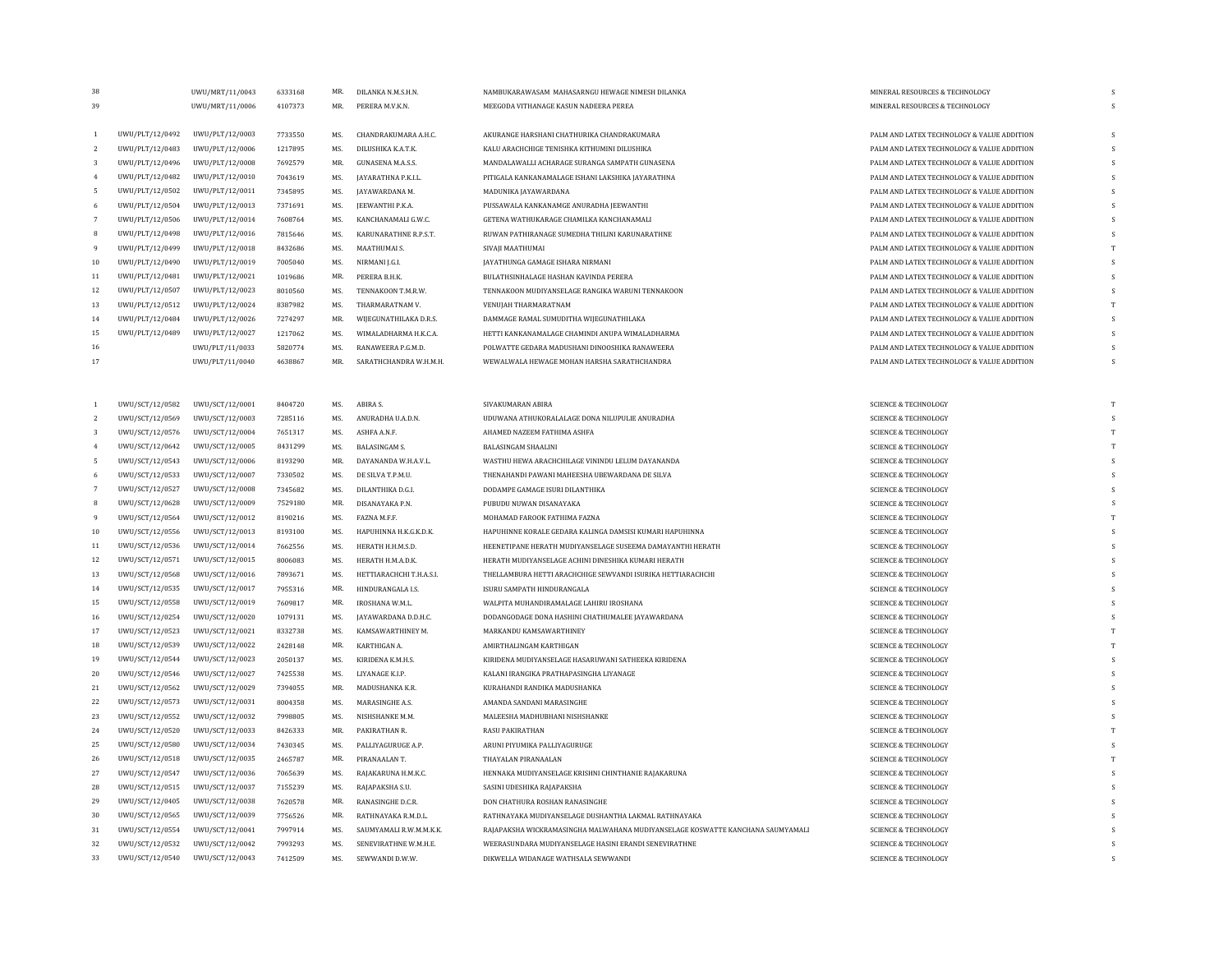| 38             |                 | UWU/MRT/11/0043 | 6333168 | MR.       | DILANKA N.M.S.H.N                              | NAMBUKARAWASAM MAHASARNGU HEWAGE NIMESH DILANKA                                | MINERAL RESOURCES & TECHNOLOGY             | S        |
|----------------|-----------------|-----------------|---------|-----------|------------------------------------------------|--------------------------------------------------------------------------------|--------------------------------------------|----------|
| 39             |                 | UWU/MRT/11/0006 | 4107373 | MR.       | PERERA M.V.K.N.                                | MEEGODA VITHANAGE KASUN NADEERA PEREA                                          | MINERAL RESOURCES & TECHNOLOGY             | s        |
|                |                 |                 |         |           |                                                |                                                                                |                                            |          |
| 1              | UWU/PLT/12/0492 | UWU/PLT/12/0003 | 7733550 | MS.       | CHANDRAKUMARA A.H.C.                           | AKURANGE HARSHANI CHATHURIKA CHANDRAKUMARA                                     | PALM AND LATEX TECHNOLOGY & VALUE ADDITION |          |
| $\overline{2}$ | UWU/PLT/12/0483 | UWU/PLT/12/0006 | 1217895 | MS.       | DILUSHIKA K.A.T.K.                             | KALU ARACHCHIGE TENISHKA KITHUMINI DILUSHIKA                                   | PALM AND LATEX TECHNOLOGY & VALUE ADDITION |          |
| 3              | UWU/PLT/12/0496 | UWU/PLT/12/0008 | 7692579 | MR.       | <b>GUNASENA M.A.S.S.</b>                       | MANDALAWALLI ACHARAGE SURANGA SAMPATH GUNASENA                                 | PALM AND LATEX TECHNOLOGY & VALUE ADDITION |          |
| $\overline{4}$ | UWU/PLT/12/0482 | UWU/PLT/12/0010 | 7043619 | MS.       | JAYARATHNA P.K.I.L                             | PITIGALA KANKANAMALAGE ISHANI LAKSHIKA JAYARATHNA                              | PALM AND LATEX TECHNOLOGY & VALUE ADDITION | S        |
| 5              | UWU/PLT/12/0502 | UWU/PLT/12/0011 | 7345895 | MS.       | JAYAWARDANA M.                                 | MADUNIKA JAYAWARDANA                                                           | PALM AND LATEX TECHNOLOGY & VALUE ADDITION |          |
| 6              | UWU/PLT/12/0504 | UWU/PLT/12/0013 | 7371691 | MS.       | JEEWANTHI P.K.A.                               | PUSSAWALA KANKANAMGE ANURADHA JEEWANTHI                                        | PALM AND LATEX TECHNOLOGY & VALUE ADDITION |          |
| $\overline{7}$ | UWU/PLT/12/0506 | UWU/PLT/12/0014 | 7608764 | MS.       | KANCHANAMALI G.W.C.                            | GETENA WATHUKARAGE CHAMILKA KANCHANAMALI                                       | PALM AND LATEX TECHNOLOGY & VALUE ADDITION |          |
| 8              | UWU/PLT/12/0498 | UWU/PLT/12/0016 | 7815646 | MS.       | KARUNARATHNE R.P.S.T.                          | RUWAN PATHIRANAGE SUMEDHA THILINI KARUNARATHNE                                 | PALM AND LATEX TECHNOLOGY & VALUE ADDITION |          |
| 9              | UWU/PLT/12/0499 | UWU/PLT/12/0018 | 8432686 | MS.       | MAATHUMAI S.                                   | SIVAJI MAATHUMAI                                                               | PALM AND LATEX TECHNOLOGY & VALUE ADDITION |          |
| 10             | UWU/PLT/12/0490 | UWU/PLT/12/0019 | 7005040 | MS.       | NIRMANI J.G.I.                                 | JAYATHUNGA GAMAGE ISHARA NIRMANI                                               | PALM AND LATEX TECHNOLOGY & VALUE ADDITION | S        |
| 11             | UWU/PLT/12/0481 | UWU/PLT/12/0021 | 1019686 | MR.       | PERERA B.H.K.                                  | BULATHSINHALAGE HASHAN KAVINDA PERERA                                          | PALM AND LATEX TECHNOLOGY & VALUE ADDITION |          |
| 12             | UWU/PLT/12/0507 | UWU/PLT/12/0023 | 8010560 | MS.       | TENNAKOON T.M.R.W.                             | TENNAKOON MUDIYANSELAGE RANGIKA WARUNI TENNAKOON                               | PALM AND LATEX TECHNOLOGY & VALUE ADDITION | -S       |
| $13\,$         | UWU/PLT/12/0512 | UWU/PLT/12/0024 | 8387982 | MS.       | THARMARATNAM V.                                | VENUIAH THARMARATNAM                                                           | PALM AND LATEX TECHNOLOGY & VALUE ADDITION |          |
| 14             | UWU/PLT/12/0484 | UWU/PLT/12/0026 | 7274297 | MR.       | WIJEGUNATHILAKA D.R.S.                         | DAMMAGE RAMAL SUMUDITHA WIJEGUNATHILAKA                                        | PALM AND LATEX TECHNOLOGY & VALUE ADDITION |          |
| 15             | UWU/PLT/12/0489 | UWU/PLT/12/0027 | 1217062 | MS.       | WIMALADHARMA H.K.C.A.                          | HETTI KANKANAMALAGE CHAMINDI ANUPA WIMALADHARMA                                | PALM AND LATEX TECHNOLOGY & VALUE ADDITION |          |
| 16             |                 | UWU/PLT/11/0033 | 5820774 | MS.       | RANAWEERA P.G.M.D.                             | POLWATTE GEDARA MADUSHANI DINOOSHIKA RANAWEERA                                 | PALM AND LATEX TECHNOLOGY & VALUE ADDITION |          |
| 17             |                 | UWU/PLT/11/0040 | 4638867 | MR.       | SARATHCHANDRA W.H.M.H.                         | WEWALWALA HEWAGE MOHAN HARSHA SARATHCHANDRA                                    | PALM AND LATEX TECHNOLOGY & VALUE ADDITION |          |
|                |                 |                 |         |           |                                                |                                                                                |                                            |          |
|                |                 |                 |         |           |                                                |                                                                                |                                            |          |
| $\mathbf{1}$   | UWU/SCT/12/0582 | UWU/SCT/12/0001 | 8404720 | MS.       | ABIRA S.                                       | SIVAKUMARAN ABIRA                                                              | <b>SCIENCE &amp; TECHNOLOGY</b>            |          |
| $\overline{2}$ | UWU/SCT/12/0569 | UWU/SCT/12/0003 | 7285116 | MS.       | ANURADHA U.A.D.N.                              | UDUWANA ATHUKORALALAGE DONA NILUPULIE ANURADHA                                 | <b>SCIENCE &amp; TECHNOLOGY</b>            | S        |
| 3              | UWU/SCT/12/0576 | UWU/SCT/12/0004 | 7651317 | MS.       | ASHFA A.N.F.                                   | AHAMED NAZEEM FATHIMA ASHFA                                                    | <b>SCIENCE &amp; TECHNOLOGY</b>            | T        |
| $\overline{4}$ | UWU/SCT/12/0642 | UWU/SCT/12/0005 | 8431299 | MS.       | <b>BALASINGAM S.</b>                           | BALASINGAM SHAALINI                                                            | <b>SCIENCE &amp; TECHNOLOGY</b>            |          |
| $\overline{5}$ | UWU/SCT/12/0543 | UWU/SCT/12/0006 | 8193290 | MR.       | DAYANANDA W.H.A.V.L.                           | WASTHU HEWA ARACHCHILAGE VININDU LELUM DAYANANDA                               | <b>SCIENCE &amp; TECHNOLOGY</b>            | s        |
| 6              | UWU/SCT/12/0533 | UWU/SCT/12/0007 | 7330502 | MS.       | DE SILVA T.P.M.U.                              | THENAHANDI PAWANI MAHEESHA UBEWARDANA DE SILVA                                 | <b>SCIENCE &amp; TECHNOLOGY</b>            |          |
| $\overline{7}$ | UWU/SCT/12/0527 | UWU/SCT/12/0008 | 7345682 | MS.       | DILANTHIKA D.G.I.                              | DODAMPE GAMAGE ISURI DILANTHIKA                                                | <b>SCIENCE &amp; TECHNOLOGY</b>            | S        |
| 8              | UWU/SCT/12/0628 | UWU/SCT/12/0009 | 7529180 | <b>MR</b> | DISANAYAKA P.N.                                | PUBUDU NUWAN DISANAYAKA                                                        | <b>SCIENCE &amp; TECHNOLOGY</b>            | s        |
| 9              | UWU/SCT/12/0564 | UWU/SCT/12/0012 | 8190216 | MS.       | FAZNA M.F.F.                                   | MOHAMAD FAROOK FATHIMA FAZNA                                                   | <b>SCIENCE &amp; TECHNOLOGY</b>            | T        |
| 10             | UWU/SCT/12/0556 | UWU/SCT/12/0013 | 8193100 | MS.       | HAPUHINNA H.K.G.K.D.K.                         | HAPUHINNE KORALE GEDARA KALINGA DAMSISI KUMARI HAPUHINNA                       | <b>SCIENCE &amp; TECHNOLOGY</b>            | S        |
| 11             | UWU/SCT/12/0536 | UWU/SCT/12/0014 | 7662556 | MS.       | HERATH H.H.M.S.D.                              | HEENETIPANE HERATH MUDIYANSELAGE SUSEEMA DAMAYANTHI HERATH                     | <b>SCIENCE &amp; TECHNOLOGY</b>            | S        |
| 12             | UWU/SCT/12/0571 | UWU/SCT/12/0015 | 8006083 | MS.       | HERATH H.M.A.D.K.                              | HERATH MUDIYANSELAGE ACHINI DINESHIKA KUMARI HERATH                            | <b>SCIENCE &amp; TECHNOLOGY</b>            | K        |
| 13             | UWU/SCT/12/0568 | UWU/SCT/12/0016 | 7893671 | MS.       | HETTIARACHCHI T.H.A.S.I.                       | THELLAMBURA HETTI ARACHCHIGE SEWVANDI ISURIKA HETTIARACHCHI                    | <b>SCIENCE &amp; TECHNOLOGY</b>            | S        |
| 14             | UWU/SCT/12/0535 | UWU/SCT/12/0017 | 7955316 | MR.       | HINDURANGALA LS                                | ISURU SAMPATH HINDURANGALA                                                     | <b>SCIENCE &amp; TECHNOLOGY</b>            | <b>S</b> |
|                |                 |                 |         | MR.       |                                                |                                                                                |                                            |          |
| 15             | UWU/SCT/12/0558 | UWU/SCT/12/0019 | 7609817 | MS.       | IROSHANA W.M.L.<br><b>JAYAWARDANA D.D.H.C.</b> | WALPITA MUHANDIRAMALAGE LAHIRU IROSHANA                                        | <b>SCIENCE &amp; TECHNOLOGY</b>            | s        |
| $16\,$         | UWU/SCT/12/0254 | UWU/SCT/12/0020 | 1079131 |           |                                                | DODANGODAGE DONA HASHINI CHATHUMALEE JAYAWARDANA                               | <b>SCIENCE &amp; TECHNOLOGY</b>            |          |
| 17             | UWU/SCT/12/0523 | UWU/SCT/12/0021 | 8332738 | MS.       | KAMSAWARTHINEY M.                              | MARKANDU KAMSAWARTHINEY                                                        | <b>SCIENCE &amp; TECHNOLOGY</b>            | T        |
| $18\,$         | UWU/SCT/12/0539 | UWU/SCT/12/0022 | 2428148 | MR.       | KARTHIGAN A.                                   | AMIRTHALINGAM KARTHIGAN                                                        | <b>SCIENCE &amp; TECHNOLOGY</b>            | T        |
| 19             | UWU/SCT/12/0544 | UWU/SCT/12/0023 | 2050137 | MS.       | KIRIDENA K.M.H.S.                              | KIRIDENA MUDIYANSELAGE HASARUWANI SATHEEKA KIRIDENA                            | <b>SCIENCE &amp; TECHNOLOGY</b>            | s        |
| 20             | UWU/SCT/12/0546 | UWU/SCT/12/0027 | 7425538 | MS.       | LIYANAGE K.I.P.                                | KALANI IRANGIKA PRATHAPASINGHA LIYANAGE                                        | <b>SCIENCE &amp; TECHNOLOGY</b>            | S        |
| 21             | UWU/SCT/12/0562 | UWU/SCT/12/0029 | 7394055 | MR.       | MADUSHANKA K.R.                                | KURAHANDI RANDIKA MADUSHANKA                                                   | <b>SCIENCE &amp; TECHNOLOGY</b>            | s        |
| 22             | UWU/SCT/12/0573 | UWU/SCT/12/0031 | 8004358 | MS.       | MARASINGHE A.S.                                | AMANDA SANDANI MARASINGHE                                                      | <b>SCIENCE &amp; TECHNOLOGY</b>            |          |
| 23             | UWU/SCT/12/0552 | UWU/SCT/12/0032 | 7998805 | MS.       | NISHSHANKE M.M.                                | MALEESHA MADHUBHANI NISHSHANKE                                                 | <b>SCIENCE &amp; TECHNOLOGY</b>            |          |
| 24             | UWU/SCT/12/0520 | UWU/SCT/12/0033 | 8426333 | MR.       | PAKIRATHAN R.                                  | RASU PAKIRATHAN                                                                | <b>SCIENCE &amp; TECHNOLOGY</b>            | T        |
| 25             | UWU/SCT/12/0580 | UWU/SCT/12/0034 | 7430345 | MS.       | PALLIYAGURUGE A.P.                             | ARUNI PIYUMIKA PALLIYAGURUGE                                                   | <b>SCIENCE &amp; TECHNOLOGY</b>            | K        |
| 26             | UWU/SCT/12/0518 | UWU/SCT/12/0035 | 2465787 | MR.       | PIRANAALAN T.                                  | THAYALAN PIRANAALAN                                                            | <b>SCIENCE &amp; TECHNOLOGY</b>            |          |
| 27             | UWU/SCT/12/0547 | UWU/SCT/12/0036 | 7065639 | MS.       | RAJAKARUNA H.M.K.C.                            | HENNAKA MUDIYANSELAGE KRISHNI CHINTHANIE RAJAKARUNA                            | <b>SCIENCE &amp; TECHNOLOGY</b>            | S        |
| 28             | UWU/SCT/12/0515 | UWU/SCT/12/0037 | 7155239 | MS.       | RAJAPAKSHA S.U.                                | SASINI UDESHIKA RAJAPAKSHA                                                     | <b>SCIENCE &amp; TECHNOLOGY</b>            |          |
| 29             | UWU/SCT/12/0405 | UWU/SCT/12/0038 | 7620578 | MR.       | RANASINGHE D.C.R.                              | DON CHATHURA ROSHAN RANASINGHE                                                 | <b>SCIENCE &amp; TECHNOLOGY</b>            |          |
| 30             | UWU/SCT/12/0565 | UWU/SCT/12/0039 | 7756526 | MR.       | RATHNAYAKA R.M.D.L                             | RATHNAYAKA MUDIYANSELAGE DUSHANTHA LAKMAL RATHNAYAKA                           | <b>SCIENCE &amp; TECHNOLOGY</b>            | K        |
| 31             | UWU/SCT/12/0554 | UWU/SCT/12/0041 | 7997914 | MS.       | SAUMYAMALI R.W.M.M.K.K.                        | RAJAPAKSHA WICKRAMASINGHA MALWAHANA MUDIYANSELAGE KOSWATTE KANCHANA SAUMYAMALI | <b>SCIENCE &amp; TECHNOLOGY</b>            |          |
| 32             | UWU/SCT/12/0532 | UWU/SCT/12/0042 | 7993293 | MS.       | SENEVIRATHNE W.M.H.E.                          | WEERASUNDARA MUDIYANSELAGE HASINI ERANDI SENEVIRATHNE                          | <b>SCIENCE &amp; TECHNOLOGY</b>            | S        |
| 33             | UWU/SCT/12/0540 | UWU/SCT/12/0043 | 7412509 | MS.       | SEWWANDI D.W.W.                                | DIKWELLA WIDANAGE WATHSALA SEWWANDI                                            | <b>SCIENCE &amp; TECHNOLOGY</b>            |          |
|                |                 |                 |         |           |                                                |                                                                                |                                            |          |